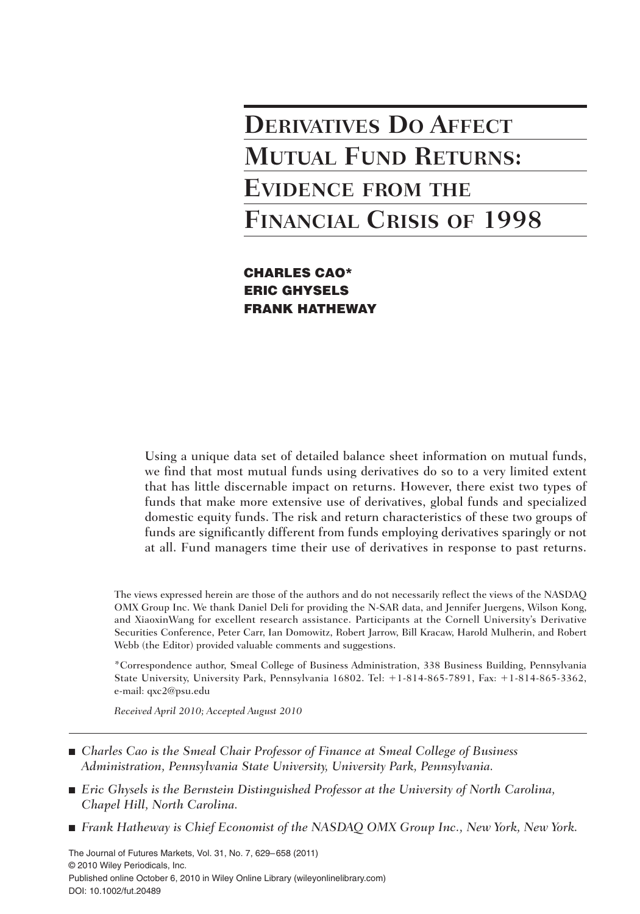# **DERIVATIVES DO AFFECT MUTUAL FUND RETURNS: EVIDENCE FROM THE FINANCIAL CRISIS OF 1998**

**CHARLES CAO\* ERIC GHYSELS FRANK HATHEWAY**

Using a unique data set of detailed balance sheet information on mutual funds, we find that most mutual funds using derivatives do so to a very limited extent that has little discernable impact on returns. However, there exist two types of funds that make more extensive use of derivatives, global funds and specialized domestic equity funds. The risk and return characteristics of these two groups of funds are significantly different from funds employing derivatives sparingly or not at all. Fund managers time their use of derivatives in response to past returns.

The views expressed herein are those of the authors and do not necessarily reflect the views of the NASDAQ OMX Group Inc. We thank Daniel Deli for providing the N-SAR data, and Jennifer Juergens, Wilson Kong, and XiaoxinWang for excellent research assistance. Participants at the Cornell University's Derivative Securities Conference, Peter Carr, Ian Domowitz, Robert Jarrow, Bill Kracaw, Harold Mulherin, and Robert Webb (the Editor) provided valuable comments and suggestions.

\*Correspondence author, Smeal College of Business Administration, 338 Business Building, Pennsylvania State University, University Park, Pennsylvania 16802. Tel: +1-814-865-7891, Fax: +1-814-865-3362, e-mail: qxc2@psu.edu

*Received April 2010; Accepted August 2010*

- *Charles Cao is the Smeal Chair Professor of Finance at Smeal College of Business Administration, Pennsylvania State University, University Park, Pennsylvania.*
- *Eric Ghysels is the Bernstein Distinguished Professor at the University of North Carolina, Chapel Hill, North Carolina.*
- *Frank Hatheway is Chief Economist of the NASDAQ OMX Group Inc., New York, New York.*

The Journal of Futures Markets, Vol. 31, No. 7, 629–658 (2011) © 2010 Wiley Periodicals, Inc. Published online October 6, 2010 in Wiley Online Library (wileyonlinelibrary.com) DOI: 10.1002/fut.20489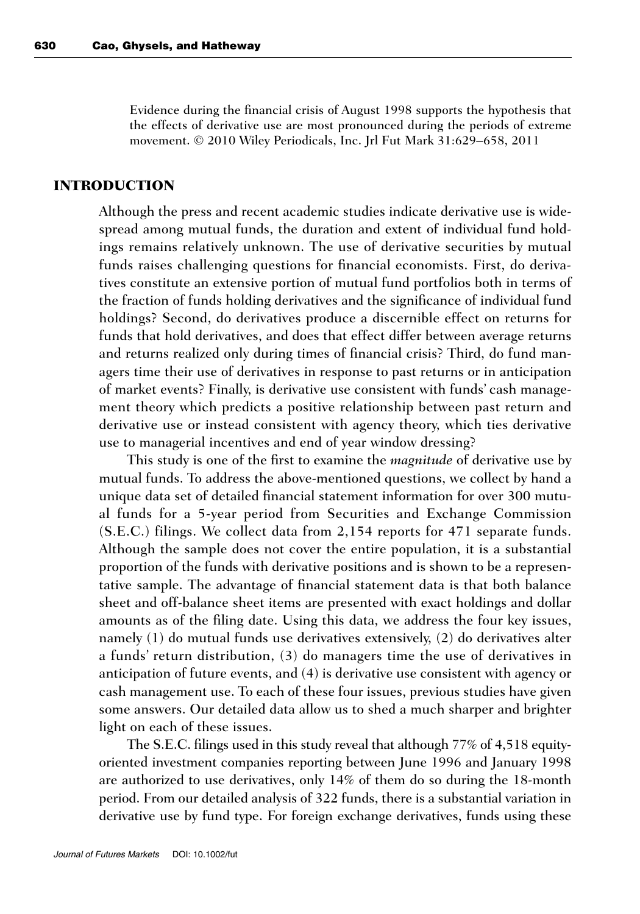Evidence during the financial crisis of August 1998 supports the hypothesis that the effects of derivative use are most pronounced during the periods of extreme movement. © 2010 Wiley Periodicals, Inc. Jrl Fut Mark 31:629–658, 2011

### **INTRODUCTION**

Although the press and recent academic studies indicate derivative use is widespread among mutual funds, the duration and extent of individual fund holdings remains relatively unknown. The use of derivative securities by mutual funds raises challenging questions for financial economists. First, do derivatives constitute an extensive portion of mutual fund portfolios both in terms of the fraction of funds holding derivatives and the significance of individual fund holdings? Second, do derivatives produce a discernible effect on returns for funds that hold derivatives, and does that effect differ between average returns and returns realized only during times of financial crisis? Third, do fund managers time their use of derivatives in response to past returns or in anticipation of market events? Finally, is derivative use consistent with funds' cash management theory which predicts a positive relationship between past return and derivative use or instead consistent with agency theory, which ties derivative use to managerial incentives and end of year window dressing?

This study is one of the first to examine the *magnitude* of derivative use by mutual funds. To address the above-mentioned questions, we collect by hand a unique data set of detailed financial statement information for over 300 mutual funds for a 5-year period from Securities and Exchange Commission (S.E.C.) filings. We collect data from 2,154 reports for 471 separate funds. Although the sample does not cover the entire population, it is a substantial proportion of the funds with derivative positions and is shown to be a representative sample. The advantage of financial statement data is that both balance sheet and off-balance sheet items are presented with exact holdings and dollar amounts as of the filing date. Using this data, we address the four key issues, namely (1) do mutual funds use derivatives extensively, (2) do derivatives alter a funds' return distribution, (3) do managers time the use of derivatives in anticipation of future events, and (4) is derivative use consistent with agency or cash management use. To each of these four issues, previous studies have given some answers. Our detailed data allow us to shed a much sharper and brighter light on each of these issues.

The S.E.C. filings used in this study reveal that although 77% of 4,518 equityoriented investment companies reporting between June 1996 and January 1998 are authorized to use derivatives, only 14% of them do so during the 18-month period. From our detailed analysis of 322 funds, there is a substantial variation in derivative use by fund type. For foreign exchange derivatives, funds using these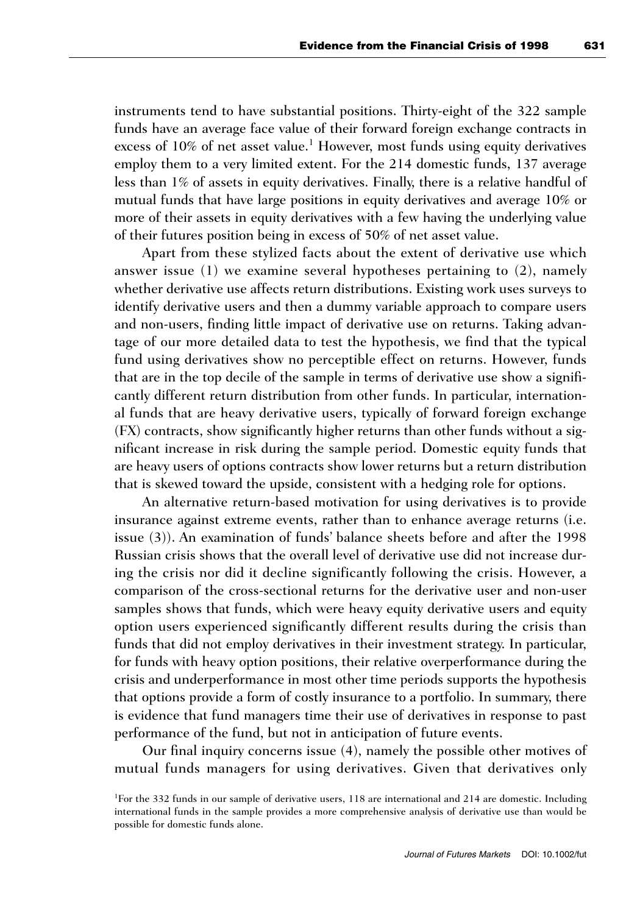instruments tend to have substantial positions. Thirty-eight of the 322 sample funds have an average face value of their forward foreign exchange contracts in excess of  $10\%$  of net asset value.<sup>1</sup> However, most funds using equity derivatives employ them to a very limited extent. For the 214 domestic funds, 137 average less than 1% of assets in equity derivatives. Finally, there is a relative handful of mutual funds that have large positions in equity derivatives and average 10% or more of their assets in equity derivatives with a few having the underlying value of their futures position being in excess of 50% of net asset value.

Apart from these stylized facts about the extent of derivative use which answer issue (1) we examine several hypotheses pertaining to (2), namely whether derivative use affects return distributions. Existing work uses surveys to identify derivative users and then a dummy variable approach to compare users and non-users, finding little impact of derivative use on returns. Taking advantage of our more detailed data to test the hypothesis, we find that the typical fund using derivatives show no perceptible effect on returns. However, funds that are in the top decile of the sample in terms of derivative use show a significantly different return distribution from other funds. In particular, international funds that are heavy derivative users, typically of forward foreign exchange (FX) contracts, show significantly higher returns than other funds without a significant increase in risk during the sample period. Domestic equity funds that are heavy users of options contracts show lower returns but a return distribution that is skewed toward the upside, consistent with a hedging role for options.

An alternative return-based motivation for using derivatives is to provide insurance against extreme events, rather than to enhance average returns (i.e. issue (3)). An examination of funds' balance sheets before and after the 1998 Russian crisis shows that the overall level of derivative use did not increase during the crisis nor did it decline significantly following the crisis. However, a comparison of the cross-sectional returns for the derivative user and non-user samples shows that funds, which were heavy equity derivative users and equity option users experienced significantly different results during the crisis than funds that did not employ derivatives in their investment strategy. In particular, for funds with heavy option positions, their relative overperformance during the crisis and underperformance in most other time periods supports the hypothesis that options provide a form of costly insurance to a portfolio. In summary, there is evidence that fund managers time their use of derivatives in response to past performance of the fund, but not in anticipation of future events.

Our final inquiry concerns issue (4), namely the possible other motives of mutual funds managers for using derivatives. Given that derivatives only

<sup>&</sup>lt;sup>1</sup>For the 332 funds in our sample of derivative users, 118 are international and 214 are domestic. Including international funds in the sample provides a more comprehensive analysis of derivative use than would be possible for domestic funds alone.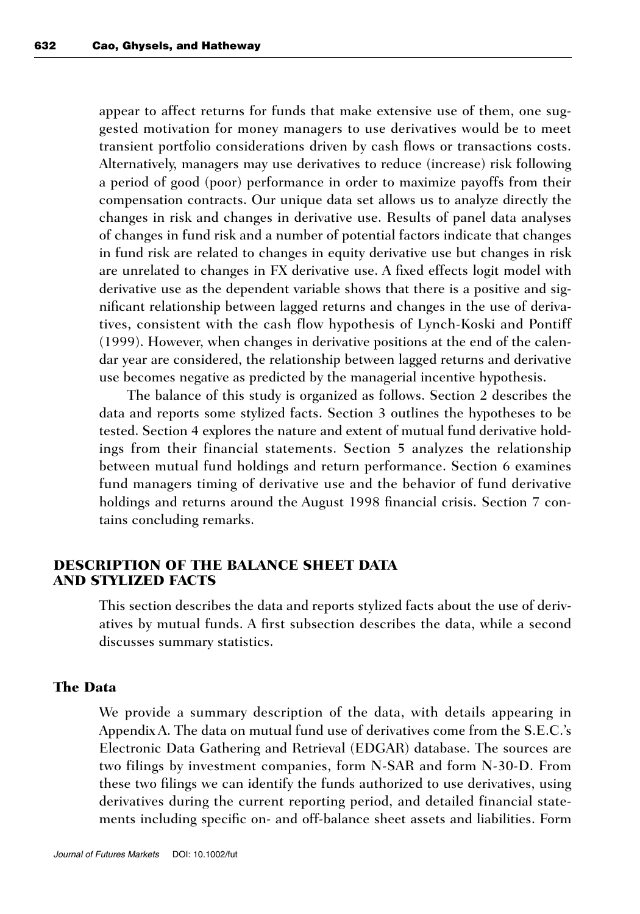appear to affect returns for funds that make extensive use of them, one suggested motivation for money managers to use derivatives would be to meet transient portfolio considerations driven by cash flows or transactions costs. Alternatively, managers may use derivatives to reduce (increase) risk following a period of good (poor) performance in order to maximize payoffs from their compensation contracts. Our unique data set allows us to analyze directly the changes in risk and changes in derivative use. Results of panel data analyses of changes in fund risk and a number of potential factors indicate that changes in fund risk are related to changes in equity derivative use but changes in risk are unrelated to changes in FX derivative use. A fixed effects logit model with derivative use as the dependent variable shows that there is a positive and significant relationship between lagged returns and changes in the use of derivatives, consistent with the cash flow hypothesis of Lynch-Koski and Pontiff (1999). However, when changes in derivative positions at the end of the calendar year are considered, the relationship between lagged returns and derivative use becomes negative as predicted by the managerial incentive hypothesis.

The balance of this study is organized as follows. Section 2 describes the data and reports some stylized facts. Section 3 outlines the hypotheses to be tested. Section 4 explores the nature and extent of mutual fund derivative holdings from their financial statements. Section 5 analyzes the relationship between mutual fund holdings and return performance. Section 6 examines fund managers timing of derivative use and the behavior of fund derivative holdings and returns around the August 1998 financial crisis. Section 7 contains concluding remarks.

# **DESCRIPTION OF THE BALANCE SHEET DATA AND STYLIZED FACTS**

This section describes the data and reports stylized facts about the use of derivatives by mutual funds. A first subsection describes the data, while a second discusses summary statistics.

#### **The Data**

We provide a summary description of the data, with details appearing in Appendix A. The data on mutual fund use of derivatives come from the S.E.C.'s Electronic Data Gathering and Retrieval (EDGAR) database. The sources are two filings by investment companies, form N-SAR and form N-30-D. From these two filings we can identify the funds authorized to use derivatives, using derivatives during the current reporting period, and detailed financial statements including specific on- and off-balance sheet assets and liabilities. Form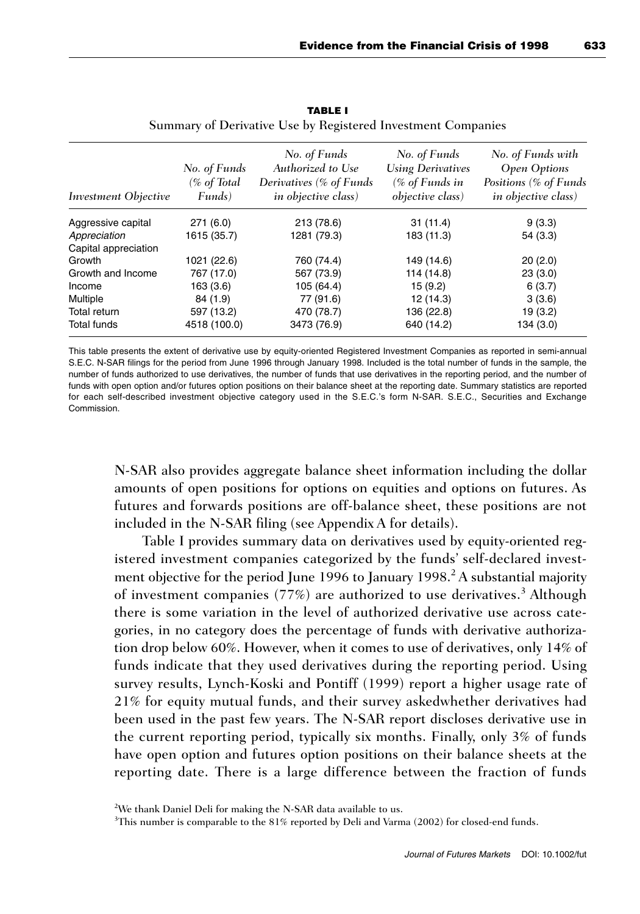| <i>Investment Objective</i> | No. of Funds<br>(% of Total<br>Funds) | No. of Funds<br>Authorized to Use<br>Derivatives (% of Funds<br><i>in objective class)</i> | No. of Funds<br><b>Using Derivatives</b><br>(% of Funds in<br><i>objective class</i> ) | No. of Funds with<br>Open Options<br>Positions (% of Funds<br><i>in objective class</i> ) |
|-----------------------------|---------------------------------------|--------------------------------------------------------------------------------------------|----------------------------------------------------------------------------------------|-------------------------------------------------------------------------------------------|
| Aggressive capital          | 271(6.0)                              | 213 (78.6)                                                                                 | 31(11.4)                                                                               | 9(3.3)                                                                                    |
| Appreciation                | 1615 (35.7)                           | 1281 (79.3)                                                                                | 183 (11.3)                                                                             | 54(3.3)                                                                                   |
| Capital appreciation        |                                       |                                                                                            |                                                                                        |                                                                                           |
| Growth                      | 1021 (22.6)                           | 760 (74.4)                                                                                 | 149 (14.6)                                                                             | 20(2.0)                                                                                   |
| Growth and Income           | 767 (17.0)                            | 567 (73.9)                                                                                 | 114 (14.8)                                                                             | 23(3.0)                                                                                   |
| Income                      | 163(3.6)                              | 105 (64.4)                                                                                 | 15(9.2)                                                                                | 6(3.7)                                                                                    |
| Multiple                    | 84 (1.9)                              | 77 (91.6)                                                                                  | 12 (14.3)                                                                              | 3(3.6)                                                                                    |
| Total return                | 597 (13.2)                            | 470 (78.7)                                                                                 | 136 (22.8)                                                                             | 19(3.2)                                                                                   |
| <b>Total funds</b>          | 4518 (100.0)                          | 3473 (76.9)                                                                                | 640 (14.2)                                                                             | 134(3.0)                                                                                  |

**TABLE I** Summary of Derivative Use by Registered Investment Companies

This table presents the extent of derivative use by equity-oriented Registered Investment Companies as reported in semi-annual S.E.C. N-SAR filings for the period from June 1996 through January 1998. Included is the total number of funds in the sample, the number of funds authorized to use derivatives, the number of funds that use derivatives in the reporting period, and the number of funds with open option and/or futures option positions on their balance sheet at the reporting date. Summary statistics are reported for each self-described investment objective category used in the S.E.C.'s form N-SAR. S.E.C., Securities and Exchange Commission.

N-SAR also provides aggregate balance sheet information including the dollar amounts of open positions for options on equities and options on futures. As futures and forwards positions are off-balance sheet, these positions are not included in the N-SAR filing (see Appendix A for details).

Table I provides summary data on derivatives used by equity-oriented registered investment companies categorized by the funds' self-declared investment objective for the period June 1996 to January 1998.<sup>2</sup> A substantial majority of investment companies  $(77%)$  are authorized to use derivatives.<sup>3</sup> Although there is some variation in the level of authorized derivative use across categories, in no category does the percentage of funds with derivative authorization drop below 60%. However, when it comes to use of derivatives, only 14% of funds indicate that they used derivatives during the reporting period. Using survey results, Lynch-Koski and Pontiff (1999) report a higher usage rate of 21% for equity mutual funds, and their survey askedwhether derivatives had been used in the past few years. The N-SAR report discloses derivative use in the current reporting period, typically six months. Finally, only 3% of funds have open option and futures option positions on their balance sheets at the reporting date. There is a large difference between the fraction of funds

 $2$ We thank Daniel Deli for making the N-SAR data available to us.

<sup>&</sup>lt;sup>3</sup>This number is comparable to the 81% reported by Deli and Varma (2002) for closed-end funds.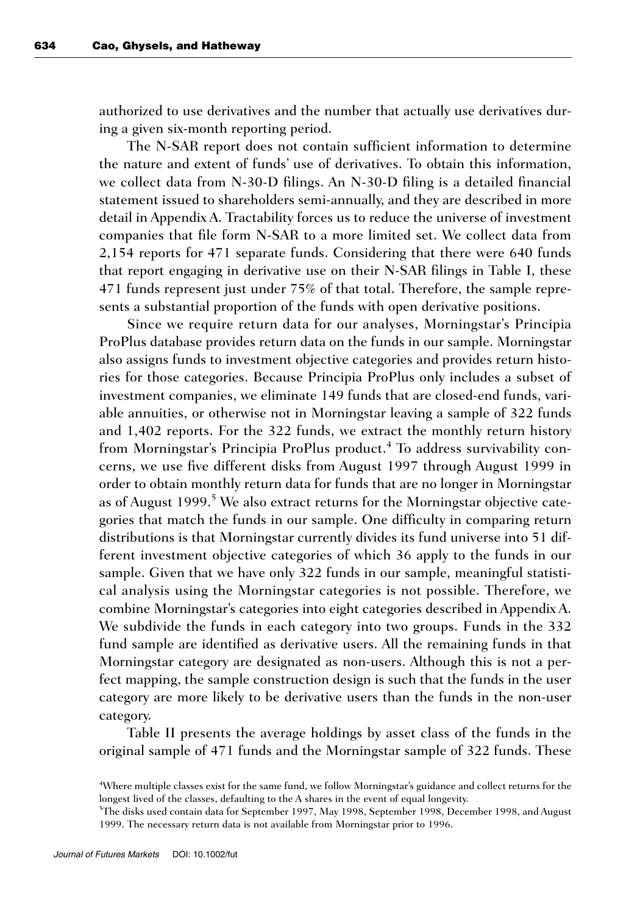authorized to use derivatives and the number that actually use derivatives during a given six-month reporting period.

The N-SAR report does not contain sufficient information to determine the nature and extent of funds' use of derivatives. To obtain this information, we collect data from N-30-D filings. An N-30-D filing is a detailed financial statement issued to shareholders semi-annually, and they are described in more detail in Appendix A. Tractability forces us to reduce the universe of investment companies that file form N-SAR to a more limited set. We collect data from 2,154 reports for 471 separate funds. Considering that there were 640 funds that report engaging in derivative use on their N-SAR filings in Table I, these 471 funds represent just under 75% of that total. Therefore, the sample represents a substantial proportion of the funds with open derivative positions.

Since we require return data for our analyses, Morningstar's Principia ProPlus database provides return data on the funds in our sample. Morningstar also assigns funds to investment objective categories and provides return histories for those categories. Because Principia ProPlus only includes a subset of investment companies, we eliminate 149 funds that are closed-end funds, variable annuities, or otherwise not in Morningstar leaving a sample of 322 funds and 1,402 reports. For the 322 funds, we extract the monthly return history from Morningstar's Principia ProPlus product.<sup>4</sup> To address survivability concerns, we use five different disks from August 1997 through August 1999 in order to obtain monthly return data for funds that are no longer in Morningstar as of August 1999.<sup>5</sup> We also extract returns for the Morningstar objective categories that match the funds in our sample. One difficulty in comparing return distributions is that Morningstar currently divides its fund universe into 51 different investment objective categories of which 36 apply to the funds in our sample. Given that we have only 322 funds in our sample, meaningful statistical analysis using the Morningstar categories is not possible. Therefore, we combine Morningstar's categories into eight categories described in Appendix A. We subdivide the funds in each category into two groups. Funds in the 332 fund sample are identified as derivative users. All the remaining funds in that Morningstar category are designated as non-users. Although this is not a perfect mapping, the sample construction design is such that the funds in the user category are more likely to be derivative users than the funds in the non-user category.

Table II presents the average holdings by asset class of the funds in the original sample of 471 funds and the Morningstar sample of 322 funds. These

<sup>4</sup> Where multiple classes exist for the same fund, we follow Morningstar's guidance and collect returns for the longest lived of the classes, defaulting to the A shares in the event of equal longevity.

<sup>5</sup> The disks used contain data for September 1997, May 1998, September 1998, December 1998, and August 1999. The necessary return data is not available from Morningstar prior to 1996.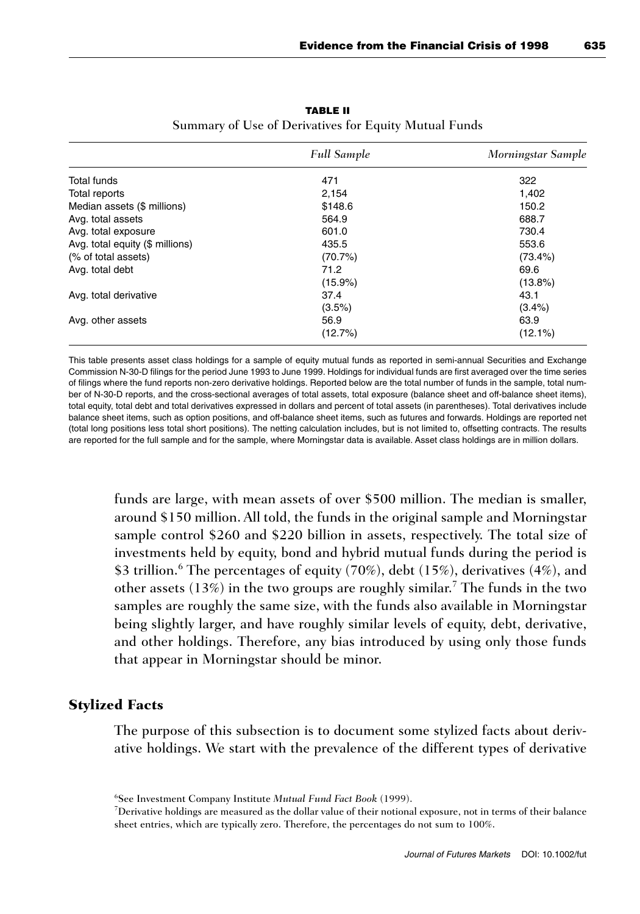|                                 | <b>Full Sample</b> | Morningstar Sample |
|---------------------------------|--------------------|--------------------|
| Total funds                     | 471                | 322                |
| Total reports                   | 2,154              | 1,402              |
| Median assets (\$ millions)     | \$148.6            | 150.2              |
| Avg. total assets               | 564.9              | 688.7              |
| Avg. total exposure             | 601.0              | 730.4              |
| Avg. total equity (\$ millions) | 435.5              | 553.6              |
| (% of total assets)             | (70.7%)            | $(73.4\%)$         |
| Avg. total debt                 | 71.2               | 69.6               |
|                                 | $(15.9\%)$         | $(13.8\%)$         |
| Avg. total derivative           | 37.4               | 43.1               |
|                                 | (3.5%)             | $(3.4\%)$          |
| Avg. other assets               | 56.9               | 63.9               |
|                                 | (12.7%)            | $(12.1\%)$         |

**TABLE II** Summary of Use of Derivatives for Equity Mutual Funds

This table presents asset class holdings for a sample of equity mutual funds as reported in semi-annual Securities and Exchange Commission N-30-D filings for the period June 1993 to June 1999. Holdings for individual funds are first averaged over the time series of filings where the fund reports non-zero derivative holdings. Reported below are the total number of funds in the sample, total number of N-30-D reports, and the cross-sectional averages of total assets, total exposure (balance sheet and off-balance sheet items), total equity, total debt and total derivatives expressed in dollars and percent of total assets (in parentheses). Total derivatives include balance sheet items, such as option positions, and off-balance sheet items, such as futures and forwards. Holdings are reported net (total long positions less total short positions). The netting calculation includes, but is not limited to, offsetting contracts. The results are reported for the full sample and for the sample, where Morningstar data is available. Asset class holdings are in million dollars.

funds are large, with mean assets of over \$500 million. The median is smaller, around \$150 million. All told, the funds in the original sample and Morningstar sample control \$260 and \$220 billion in assets, respectively. The total size of investments held by equity, bond and hybrid mutual funds during the period is \$3 trillion.<sup>6</sup> The percentages of equity (70%), debt (15%), derivatives (4%), and other assets  $(13%)$  in the two groups are roughly similar.<sup>7</sup> The funds in the two samples are roughly the same size, with the funds also available in Morningstar being slightly larger, and have roughly similar levels of equity, debt, derivative, and other holdings. Therefore, any bias introduced by using only those funds that appear in Morningstar should be minor.

## **Stylized Facts**

The purpose of this subsection is to document some stylized facts about derivative holdings. We start with the prevalence of the different types of derivative

<sup>6</sup> See Investment Company Institute *Mutual Fund Fact Book* (1999).

<sup>7</sup> Derivative holdings are measured as the dollar value of their notional exposure, not in terms of their balance sheet entries, which are typically zero. Therefore, the percentages do not sum to 100%.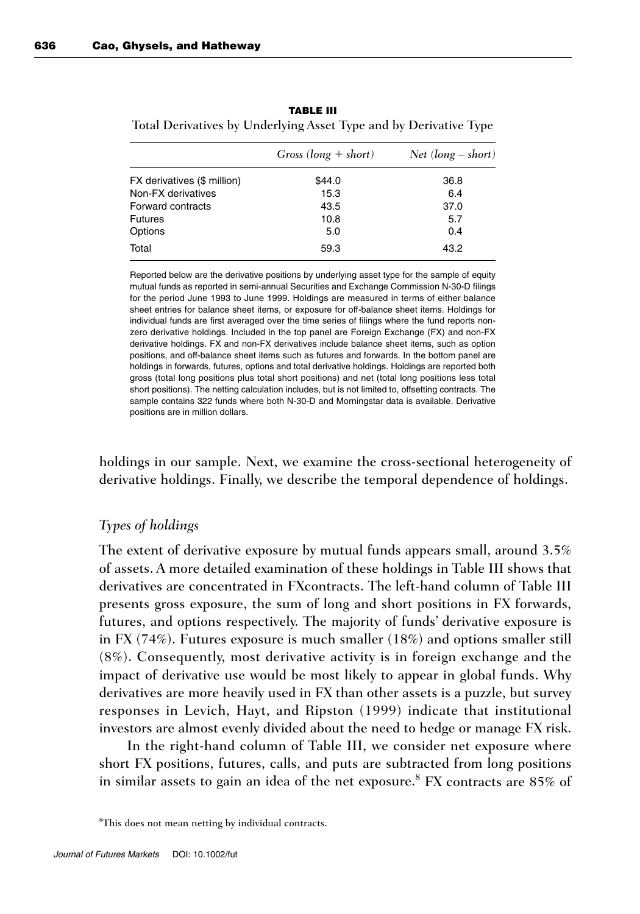|                             | $Gross (long + short)$ | $Net (long - short)$ |
|-----------------------------|------------------------|----------------------|
| FX derivatives (\$ million) | \$44.0                 | 36.8                 |
| Non-FX derivatives          | 15.3                   | 6.4                  |
| Forward contracts           | 43.5                   | 37.0                 |
| <b>Futures</b>              | 10.8                   | 5.7                  |
| Options                     | 5.0                    | 0.4                  |
| Total                       | 59.3                   | 43.2                 |

| <b>TABLE III</b> |                                                                   |
|------------------|-------------------------------------------------------------------|
|                  | Total Derivatives by Underlying Asset Type and by Derivative Type |

Reported below are the derivative positions by underlying asset type for the sample of equity mutual funds as reported in semi-annual Securities and Exchange Commission N-30-D filings for the period June 1993 to June 1999. Holdings are measured in terms of either balance sheet entries for balance sheet items, or exposure for off-balance sheet items. Holdings for individual funds are first averaged over the time series of filings where the fund reports nonzero derivative holdings. Included in the top panel are Foreign Exchange (FX) and non-FX derivative holdings. FX and non-FX derivatives include balance sheet items, such as option positions, and off-balance sheet items such as futures and forwards. In the bottom panel are holdings in forwards, futures, options and total derivative holdings. Holdings are reported both gross (total long positions plus total short positions) and net (total long positions less total short positions). The netting calculation includes, but is not limited to, offsetting contracts. The sample contains 322 funds where both N-30-D and Morningstar data is available. Derivative positions are in million dollars.

holdings in our sample. Next, we examine the cross-sectional heterogeneity of derivative holdings. Finally, we describe the temporal dependence of holdings.

## *Types of holdings*

The extent of derivative exposure by mutual funds appears small, around 3.5% of assets. A more detailed examination of these holdings in Table III shows that derivatives are concentrated in FXcontracts. The left-hand column of Table III presents gross exposure, the sum of long and short positions in FX forwards, futures, and options respectively. The majority of funds' derivative exposure is in FX (74%). Futures exposure is much smaller (18%) and options smaller still (8%). Consequently, most derivative activity is in foreign exchange and the impact of derivative use would be most likely to appear in global funds. Why derivatives are more heavily used in FX than other assets is a puzzle, but survey responses in Levich, Hayt, and Ripston (1999) indicate that institutional investors are almost evenly divided about the need to hedge or manage FX risk.

In the right-hand column of Table III, we consider net exposure where short FX positions, futures, calls, and puts are subtracted from long positions in similar assets to gain an idea of the net exposure.<sup>8</sup> FX contracts are  $85\%$  of

8 This does not mean netting by individual contracts.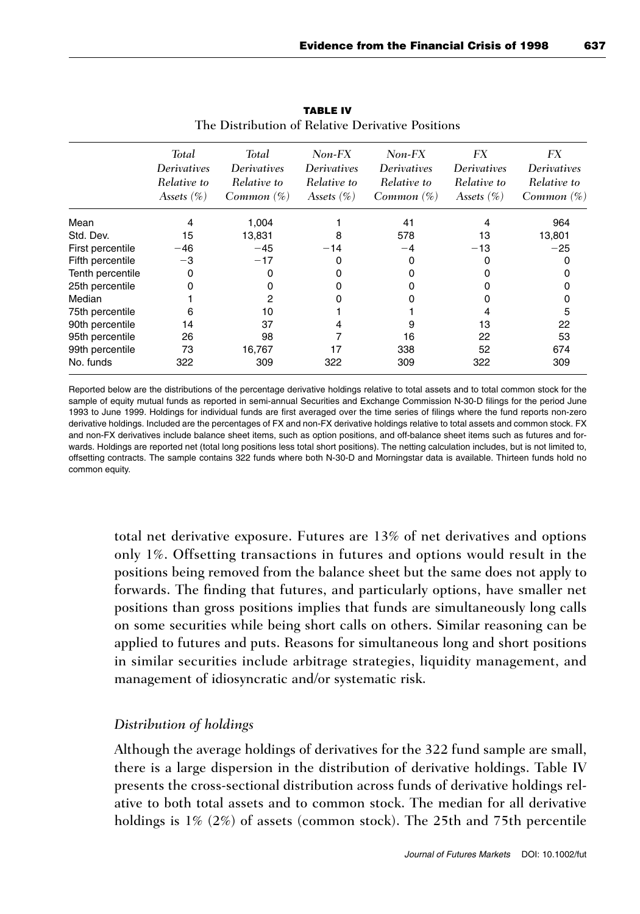|                  | <b>Total</b>  | Total              | $Non-FX$      | $Non-FX$           | FX                 | FX                 |
|------------------|---------------|--------------------|---------------|--------------------|--------------------|--------------------|
|                  | Derivatives   | <i>Derivatives</i> | Derivatives   | <b>Derivatives</b> | <b>Derivatives</b> | <b>Derivatives</b> |
|                  | Relative to   | Relative to        | Relative to   | Relative to        | Relative to        | Relative to        |
|                  | Assets $(\%)$ | Common (%)         | Assets $(\%)$ | $Common(\%)$       | Assets $(\%)$      | $Common(\%)$       |
| Mean             |               | 1,004              |               | 41                 | 4                  | 964                |
| Std. Dev.        | 15            | 13,831             | 8             | 578                | 13                 | 13,801             |
| First percentile | $-46$         | $-45$              | $-14$         | $-4$               | $-13$              | $-25$              |
| Fifth percentile | -3            | $-17$              | 0             |                    |                    |                    |
| Tenth percentile | 0             | 0                  |               |                    |                    |                    |
| 25th percentile  |               | 0                  |               |                    |                    |                    |
| Median           |               | 2                  |               |                    |                    |                    |
| 75th percentile  | 6             | 10                 |               |                    |                    | 5                  |
| 90th percentile  | 14            | 37                 | 4             | 9                  | 13                 | 22                 |
| 95th percentile  | 26            | 98                 |               | 16                 | 22                 | 53                 |
| 99th percentile  | 73            | 16,767             | 17            | 338                | 52                 | 674                |
| No. funds        | 322           | 309                | 322           | 309                | 322                | 309                |

**TABLE IV** The Distribution of Relative Derivative Positions

Reported below are the distributions of the percentage derivative holdings relative to total assets and to total common stock for the sample of equity mutual funds as reported in semi-annual Securities and Exchange Commission N-30-D filings for the period June 1993 to June 1999. Holdings for individual funds are first averaged over the time series of filings where the fund reports non-zero derivative holdings. Included are the percentages of FX and non-FX derivative holdings relative to total assets and common stock. FX and non-FX derivatives include balance sheet items, such as option positions, and off-balance sheet items such as futures and forwards. Holdings are reported net (total long positions less total short positions). The netting calculation includes, but is not limited to, offsetting contracts. The sample contains 322 funds where both N-30-D and Morningstar data is available. Thirteen funds hold no common equity.

total net derivative exposure. Futures are 13% of net derivatives and options only 1%. Offsetting transactions in futures and options would result in the positions being removed from the balance sheet but the same does not apply to forwards. The finding that futures, and particularly options, have smaller net positions than gross positions implies that funds are simultaneously long calls on some securities while being short calls on others. Similar reasoning can be applied to futures and puts. Reasons for simultaneous long and short positions in similar securities include arbitrage strategies, liquidity management, and management of idiosyncratic and/or systematic risk.

## *Distribution of holdings*

Although the average holdings of derivatives for the 322 fund sample are small, there is a large dispersion in the distribution of derivative holdings. Table IV presents the cross-sectional distribution across funds of derivative holdings relative to both total assets and to common stock. The median for all derivative holdings is 1% (2%) of assets (common stock). The 25th and 75th percentile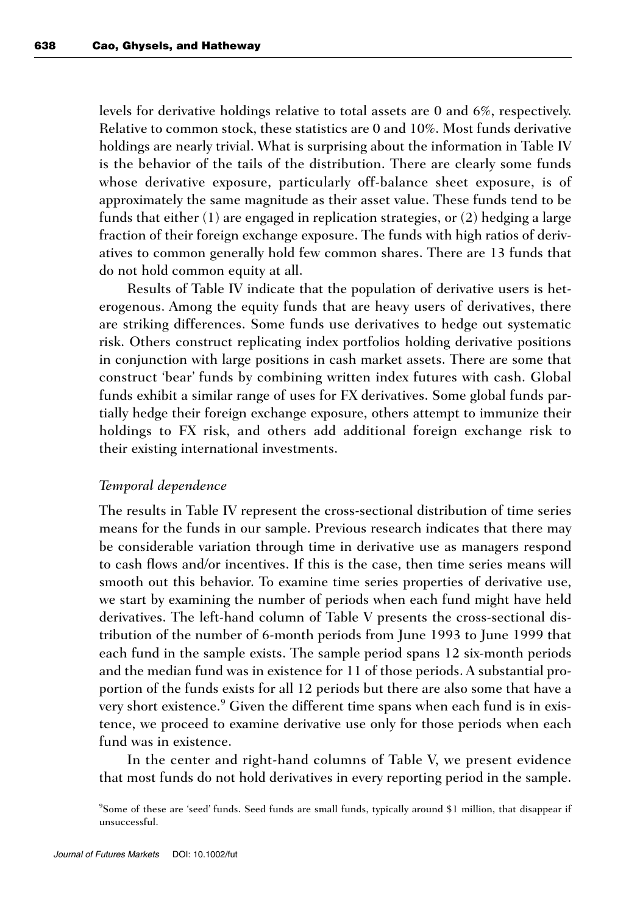levels for derivative holdings relative to total assets are 0 and 6%, respectively. Relative to common stock, these statistics are 0 and 10%. Most funds derivative holdings are nearly trivial. What is surprising about the information in Table IV is the behavior of the tails of the distribution. There are clearly some funds whose derivative exposure, particularly off-balance sheet exposure, is of approximately the same magnitude as their asset value. These funds tend to be funds that either (1) are engaged in replication strategies, or (2) hedging a large fraction of their foreign exchange exposure. The funds with high ratios of derivatives to common generally hold few common shares. There are 13 funds that do not hold common equity at all.

Results of Table IV indicate that the population of derivative users is heterogenous. Among the equity funds that are heavy users of derivatives, there are striking differences. Some funds use derivatives to hedge out systematic risk. Others construct replicating index portfolios holding derivative positions in conjunction with large positions in cash market assets. There are some that construct 'bear' funds by combining written index futures with cash. Global funds exhibit a similar range of uses for FX derivatives. Some global funds partially hedge their foreign exchange exposure, others attempt to immunize their holdings to FX risk, and others add additional foreign exchange risk to their existing international investments.

#### *Temporal dependence*

The results in Table IV represent the cross-sectional distribution of time series means for the funds in our sample. Previous research indicates that there may be considerable variation through time in derivative use as managers respond to cash flows and/or incentives. If this is the case, then time series means will smooth out this behavior. To examine time series properties of derivative use, we start by examining the number of periods when each fund might have held derivatives. The left-hand column of Table V presents the cross-sectional distribution of the number of 6-month periods from June 1993 to June 1999 that each fund in the sample exists. The sample period spans 12 six-month periods and the median fund was in existence for 11 of those periods. A substantial proportion of the funds exists for all 12 periods but there are also some that have a very short existence.<sup>9</sup> Given the different time spans when each fund is in existence, we proceed to examine derivative use only for those periods when each fund was in existence.

In the center and right-hand columns of Table V, we present evidence that most funds do not hold derivatives in every reporting period in the sample.

9 Some of these are 'seed' funds. Seed funds are small funds, typically around \$1 million, that disappear if unsuccessful.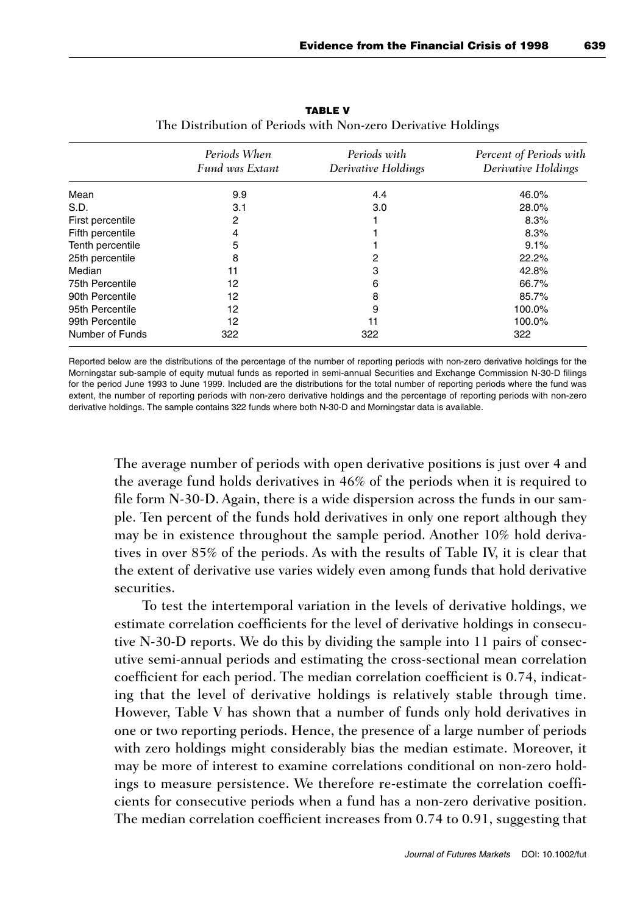|                  | Periods When<br><b>Fund was Extant</b> | Periods with<br>Derivative Holdings | Percent of Periods with<br>Derivative Holdings |
|------------------|----------------------------------------|-------------------------------------|------------------------------------------------|
| Mean             | 9.9                                    | 4.4                                 | 46.0%                                          |
| S.D.             | 3.1                                    | 3.0                                 | 28.0%                                          |
| First percentile | 2                                      |                                     | 8.3%                                           |
| Fifth percentile | 4                                      |                                     | 8.3%                                           |
| Tenth percentile | 5                                      |                                     | 9.1%                                           |
| 25th percentile  | 8                                      | 2                                   | 22.2%                                          |
| Median           | 11                                     | 3                                   | 42.8%                                          |
| 75th Percentile  | 12                                     | 6                                   | 66.7%                                          |
| 90th Percentile  | 12                                     | 8                                   | 85.7%                                          |
| 95th Percentile  | 12                                     | 9                                   | 100.0%                                         |
| 99th Percentile  | 12                                     | 11                                  | 100.0%                                         |
| Number of Funds  | 322                                    | 322                                 | 322                                            |

**TABLE V** The Distribution of Periods with Non-zero Derivative Holdings

Reported below are the distributions of the percentage of the number of reporting periods with non-zero derivative holdings for the Morningstar sub-sample of equity mutual funds as reported in semi-annual Securities and Exchange Commission N-30-D filings for the period June 1993 to June 1999. Included are the distributions for the total number of reporting periods where the fund was extent, the number of reporting periods with non-zero derivative holdings and the percentage of reporting periods with non-zero derivative holdings. The sample contains 322 funds where both N-30-D and Morningstar data is available.

The average number of periods with open derivative positions is just over 4 and the average fund holds derivatives in 46% of the periods when it is required to file form N-30-D. Again, there is a wide dispersion across the funds in our sample. Ten percent of the funds hold derivatives in only one report although they may be in existence throughout the sample period. Another 10% hold derivatives in over 85% of the periods. As with the results of Table IV, it is clear that the extent of derivative use varies widely even among funds that hold derivative securities.

To test the intertemporal variation in the levels of derivative holdings, we estimate correlation coefficients for the level of derivative holdings in consecutive N-30-D reports. We do this by dividing the sample into 11 pairs of consecutive semi-annual periods and estimating the cross-sectional mean correlation coefficient for each period. The median correlation coefficient is 0.74, indicating that the level of derivative holdings is relatively stable through time. However, Table V has shown that a number of funds only hold derivatives in one or two reporting periods. Hence, the presence of a large number of periods with zero holdings might considerably bias the median estimate. Moreover, it may be more of interest to examine correlations conditional on non-zero holdings to measure persistence. We therefore re-estimate the correlation coefficients for consecutive periods when a fund has a non-zero derivative position. The median correlation coefficient increases from 0.74 to 0.91, suggesting that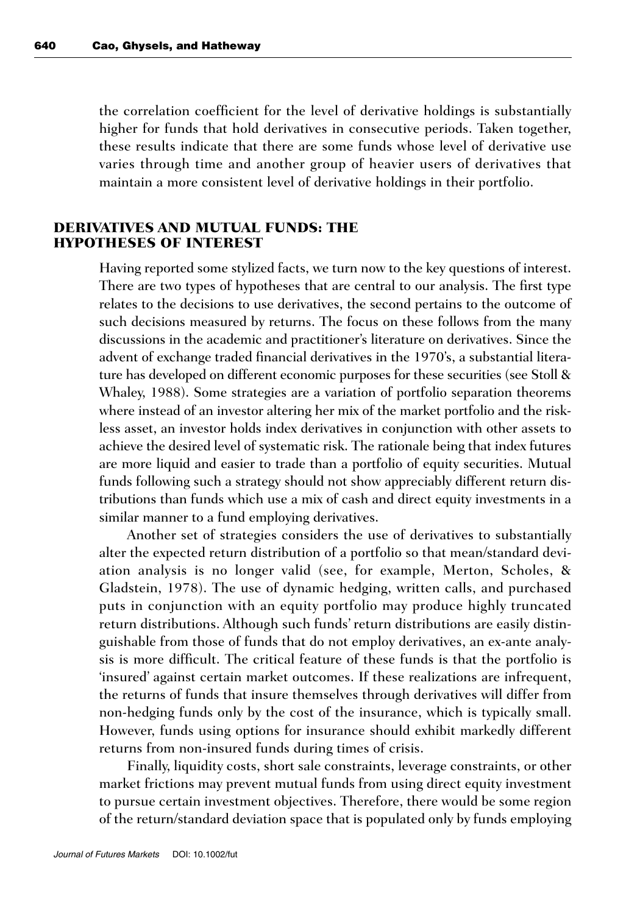the correlation coefficient for the level of derivative holdings is substantially higher for funds that hold derivatives in consecutive periods. Taken together, these results indicate that there are some funds whose level of derivative use varies through time and another group of heavier users of derivatives that maintain a more consistent level of derivative holdings in their portfolio.

## **DERIVATIVES AND MUTUAL FUNDS: THE HYPOTHESES OF INTEREST**

Having reported some stylized facts, we turn now to the key questions of interest. There are two types of hypotheses that are central to our analysis. The first type relates to the decisions to use derivatives, the second pertains to the outcome of such decisions measured by returns. The focus on these follows from the many discussions in the academic and practitioner's literature on derivatives. Since the advent of exchange traded financial derivatives in the 1970's, a substantial literature has developed on different economic purposes for these securities (see Stoll & Whaley, 1988). Some strategies are a variation of portfolio separation theorems where instead of an investor altering her mix of the market portfolio and the riskless asset, an investor holds index derivatives in conjunction with other assets to achieve the desired level of systematic risk. The rationale being that index futures are more liquid and easier to trade than a portfolio of equity securities. Mutual funds following such a strategy should not show appreciably different return distributions than funds which use a mix of cash and direct equity investments in a similar manner to a fund employing derivatives.

Another set of strategies considers the use of derivatives to substantially alter the expected return distribution of a portfolio so that mean/standard deviation analysis is no longer valid (see, for example, Merton, Scholes, & Gladstein, 1978). The use of dynamic hedging, written calls, and purchased puts in conjunction with an equity portfolio may produce highly truncated return distributions. Although such funds' return distributions are easily distinguishable from those of funds that do not employ derivatives, an ex-ante analysis is more difficult. The critical feature of these funds is that the portfolio is 'insured' against certain market outcomes. If these realizations are infrequent, the returns of funds that insure themselves through derivatives will differ from non-hedging funds only by the cost of the insurance, which is typically small. However, funds using options for insurance should exhibit markedly different returns from non-insured funds during times of crisis.

Finally, liquidity costs, short sale constraints, leverage constraints, or other market frictions may prevent mutual funds from using direct equity investment to pursue certain investment objectives. Therefore, there would be some region of the return/standard deviation space that is populated only by funds employing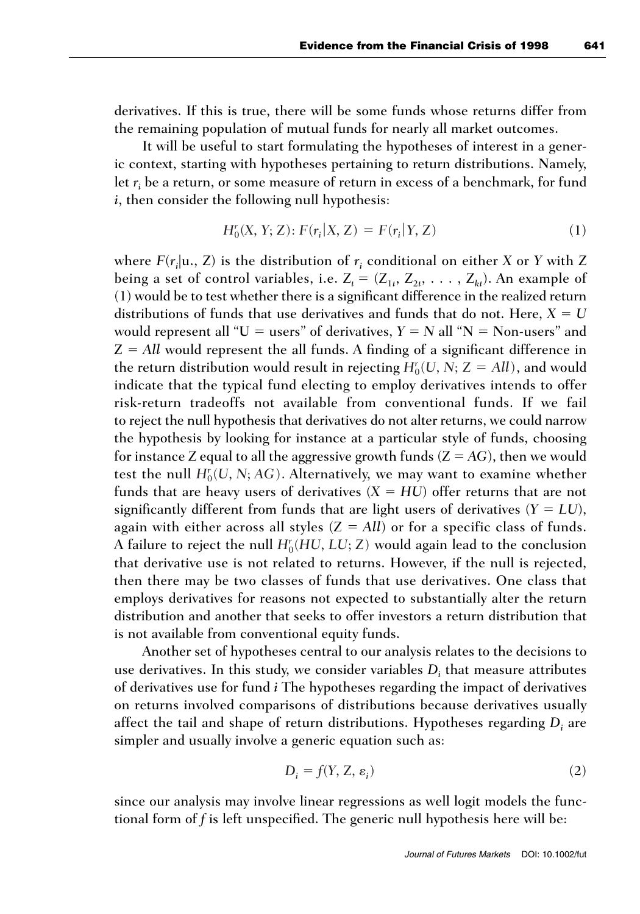derivatives. If this is true, there will be some funds whose returns differ from the remaining population of mutual funds for nearly all market outcomes.

It will be useful to start formulating the hypotheses of interest in a generic context, starting with hypotheses pertaining to return distributions. Namely, let *ri* be a return, or some measure of return in excess of a benchmark, for fund *i*, then consider the following null hypothesis:

$$
H_0^r(X, Y; Z): F(r_i | X, Z) = F(r_i | Y, Z)
$$
 (1)

where  $F(r_i | \mathbf{u}_\cdot, \mathbf{Z})$  is the distribution of  $r_i$  conditional on either  $X$  or  $Y$  with  $Z$ being a set of control variables, i.e.  $Z_t = (Z_{1t}, Z_{2t}, \ldots, Z_{kt})$ . An example of (1) would be to test whether there is a significant difference in the realized return distributions of funds that use derivatives and funds that do not. Here,  $X = U$ would represent all " $U =$  users" of derivatives,  $Y = N$  all " $N =$  Non-users" and  $Z = All$  would represent the all funds. A finding of a significant difference in the return distribution would result in rejecting  $H_0^r(U, N; Z = All)$ , and would indicate that the typical fund electing to employ derivatives intends to offer risk-return tradeoffs not available from conventional funds. If we fail to reject the null hypothesis that derivatives do not alter returns, we could narrow the hypothesis by looking for instance at a particular style of funds, choosing for instance *Z* equal to all the aggressive growth funds  $(Z = AG)$ , then we would test the null  $H_0^r(U, N; AG)$ . Alternatively, we may want to examine whether funds that are heavy users of derivatives  $(X = HU)$  offer returns that are not significantly different from funds that are light users of derivatives  $(Y = LU)$ , again with either across all styles  $(Z = All)$  or for a specific class of funds. A failure to reject the null  $H_0^r(HU, LU, Z)$  would again lead to the conclusion that derivative use is not related to returns. However, if the null is rejected, then there may be two classes of funds that use derivatives. One class that employs derivatives for reasons not expected to substantially alter the return distribution and another that seeks to offer investors a return distribution that is not available from conventional equity funds.

Another set of hypotheses central to our analysis relates to the decisions to use derivatives. In this study, we consider variables *Di* that measure attributes of derivatives use for fund *i* The hypotheses regarding the impact of derivatives on returns involved comparisons of distributions because derivatives usually affect the tail and shape of return distributions. Hypotheses regarding *Di* are simpler and usually involve a generic equation such as:

$$
D_i = f(Y, Z, \varepsilon_i) \tag{2}
$$

since our analysis may involve linear regressions as well logit models the functional form of *f* is left unspecified. The generic null hypothesis here will be: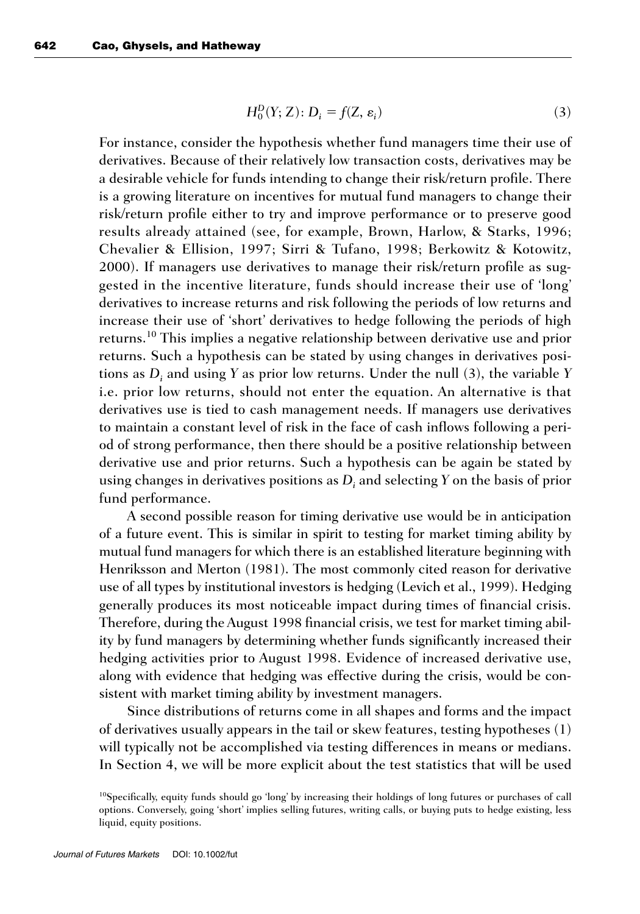$$
H_0^D(Y; Z): D_i = f(Z, \varepsilon_i)
$$
\n(3)

For instance, consider the hypothesis whether fund managers time their use of derivatives. Because of their relatively low transaction costs, derivatives may be a desirable vehicle for funds intending to change their risk/return profile. There is a growing literature on incentives for mutual fund managers to change their risk/return profile either to try and improve performance or to preserve good results already attained (see, for example, Brown, Harlow, & Starks, 1996; Chevalier & Ellision, 1997; Sirri & Tufano, 1998; Berkowitz & Kotowitz, 2000). If managers use derivatives to manage their risk/return profile as suggested in the incentive literature, funds should increase their use of 'long' derivatives to increase returns and risk following the periods of low returns and increase their use of 'short' derivatives to hedge following the periods of high returns.10 This implies a negative relationship between derivative use and prior returns. Such a hypothesis can be stated by using changes in derivatives positions as *Di* and using *Y* as prior low returns. Under the null (3), the variable *Y* i.e. prior low returns, should not enter the equation. An alternative is that derivatives use is tied to cash management needs. If managers use derivatives to maintain a constant level of risk in the face of cash inflows following a period of strong performance, then there should be a positive relationship between derivative use and prior returns. Such a hypothesis can be again be stated by using changes in derivatives positions as *Di* and selecting *Y* on the basis of prior fund performance.

A second possible reason for timing derivative use would be in anticipation of a future event. This is similar in spirit to testing for market timing ability by mutual fund managers for which there is an established literature beginning with Henriksson and Merton (1981). The most commonly cited reason for derivative use of all types by institutional investors is hedging (Levich et al., 1999). Hedging generally produces its most noticeable impact during times of financial crisis. Therefore, during the August 1998 financial crisis, we test for market timing ability by fund managers by determining whether funds significantly increased their hedging activities prior to August 1998. Evidence of increased derivative use, along with evidence that hedging was effective during the crisis, would be consistent with market timing ability by investment managers.

Since distributions of returns come in all shapes and forms and the impact of derivatives usually appears in the tail or skew features, testing hypotheses (1) will typically not be accomplished via testing differences in means or medians. In Section 4, we will be more explicit about the test statistics that will be used

<sup>&</sup>lt;sup>10</sup>Specifically, equity funds should go 'long' by increasing their holdings of long futures or purchases of call options. Conversely, going 'short' implies selling futures, writing calls, or buying puts to hedge existing, less liquid, equity positions.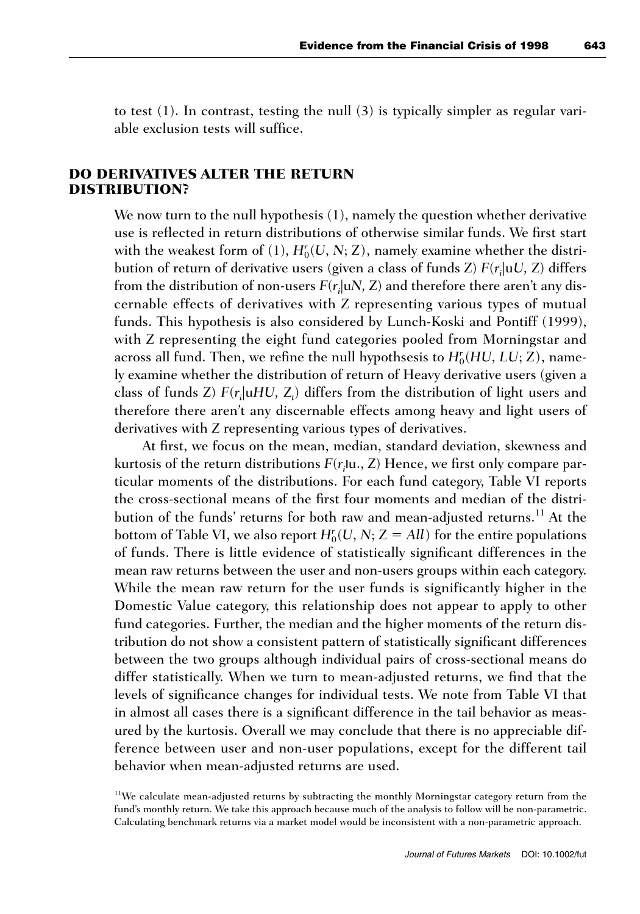to test (1). In contrast, testing the null (3) is typically simpler as regular variable exclusion tests will suffice.

# **DO DERIVATIVES ALTER THE RETURN DISTRIBUTION?**

We now turn to the null hypothesis (1), namely the question whether derivative use is reflected in return distributions of otherwise similar funds. We first start with the weakest form of  $(1)$ ,  $H_0^r(U, N; Z)$ , namely examine whether the distribution of return of derivative users (given a class of funds *Z*) *F*(*ri* |u*U, Z*) differs from the distribution of non-users  $F(r_i|uN, Z)$  and therefore there aren't any discernable effects of derivatives with *Z* representing various types of mutual funds. This hypothesis is also considered by Lunch-Koski and Pontiff (1999), with *Z* representing the eight fund categories pooled from Morningstar and across all fund. Then, we refine the null hypothsesis to  $H^r_0(HU, LU, Z)$ , namely examine whether the distribution of return of Heavy derivative users (given a class of funds *Z*) *F*( $r$ <sub>i</sub>|u*HU*, *Z*<sub>t</sub>) differs from the distribution of light users and therefore there aren't any discernable effects among heavy and light users of derivatives with *Z* representing various types of derivatives.

At first, we focus on the mean, median, standard deviation, skewness and kurtosis of the return distributions *F*(*ri* **|**u., *Z*) Hence, we first only compare particular moments of the distributions. For each fund category, Table VI reports the cross-sectional means of the first four moments and median of the distribution of the funds' returns for both raw and mean-adjusted returns.<sup>11</sup> At the bottom of Table VI, we also report  $H_0^r(U, N; Z = All)$  for the entire populations of funds. There is little evidence of statistically significant differences in the mean raw returns between the user and non-users groups within each category. While the mean raw return for the user funds is significantly higher in the Domestic Value category, this relationship does not appear to apply to other fund categories. Further, the median and the higher moments of the return distribution do not show a consistent pattern of statistically significant differences between the two groups although individual pairs of cross-sectional means do differ statistically. When we turn to mean-adjusted returns, we find that the levels of significance changes for individual tests. We note from Table VI that in almost all cases there is a significant difference in the tail behavior as measured by the kurtosis. Overall we may conclude that there is no appreciable difference between user and non-user populations, except for the different tail behavior when mean-adjusted returns are used.

 $11$ We calculate mean-adjusted returns by subtracting the monthly Morningstar category return from the fund's monthly return. We take this approach because much of the analysis to follow will be non-parametric. Calculating benchmark returns via a market model would be inconsistent with a non-parametric approach.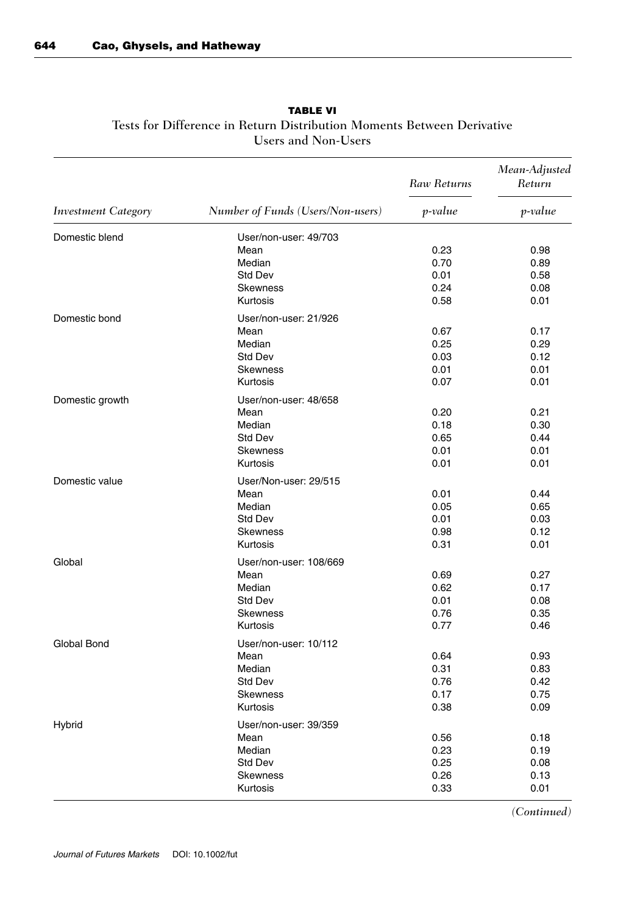|                            |                                   | Raw Returns | Mean-Adjusted<br>Return |
|----------------------------|-----------------------------------|-------------|-------------------------|
| <b>Investment Category</b> | Number of Funds (Users/Non-users) | p-value     | p-value                 |
| Domestic blend             | User/non-user: 49/703             |             |                         |
|                            | Mean                              | 0.23        | 0.98                    |
|                            | Median                            | 0.70        | 0.89                    |
|                            | Std Dev                           | 0.01        | 0.58                    |
|                            | <b>Skewness</b>                   | 0.24        | 0.08                    |
|                            | Kurtosis                          | 0.58        | 0.01                    |
| Domestic bond              | User/non-user: 21/926             |             |                         |
|                            | Mean                              | 0.67        | 0.17                    |
|                            | Median                            | 0.25        | 0.29                    |
|                            | Std Dev                           | 0.03        | 0.12                    |
|                            | <b>Skewness</b>                   | 0.01        | 0.01                    |
|                            | Kurtosis                          | 0.07        | 0.01                    |
| Domestic growth            | User/non-user: 48/658             |             |                         |
|                            | Mean                              | 0.20        | 0.21                    |
|                            | Median                            | 0.18        | 0.30                    |
|                            | Std Dev                           | 0.65        | 0.44                    |
|                            | <b>Skewness</b>                   | 0.01        | 0.01                    |
|                            | Kurtosis                          | 0.01        | 0.01                    |
| Domestic value             | User/Non-user: 29/515             |             |                         |
|                            | Mean                              | 0.01        | 0.44                    |
|                            | Median                            | 0.05        | 0.65                    |
|                            | Std Dev                           | 0.01        | 0.03                    |
|                            | <b>Skewness</b>                   | 0.98        | 0.12                    |
|                            | Kurtosis                          | 0.31        | 0.01                    |
| Global                     | User/non-user: 108/669            |             |                         |
|                            | Mean                              | 0.69        | 0.27                    |
|                            | Median                            | 0.62        | 0.17                    |
|                            | Std Dev                           | 0.01        | 0.08                    |
|                            | <b>Skewness</b>                   | 0.76        | 0.35                    |
|                            | Kurtosis                          | 0.77        | 0.46                    |
| Global Bond                | User/non-user: 10/112             |             |                         |
|                            | Mean                              | 0.64        | 0.93                    |
|                            | Median                            | 0.31        | 0.83                    |
|                            | Std Dev                           | 0.76        | 0.42                    |
|                            | <b>Skewness</b>                   | 0.17        | 0.75                    |
|                            | Kurtosis                          | 0.38        | 0.09                    |
| Hybrid                     | User/non-user: 39/359             |             |                         |
|                            | Mean                              | 0.56        | 0.18                    |
|                            | Median                            | 0.23        | 0.19                    |
|                            | Std Dev                           | 0.25        | 0.08                    |
|                            | <b>Skewness</b>                   | 0.26        | 0.13                    |
|                            | Kurtosis                          | 0.33        | 0.01                    |

## **TABLE VI** Tests for Difference in Return Distribution Moments Between Derivative Users and Non-Users

*(Continued)*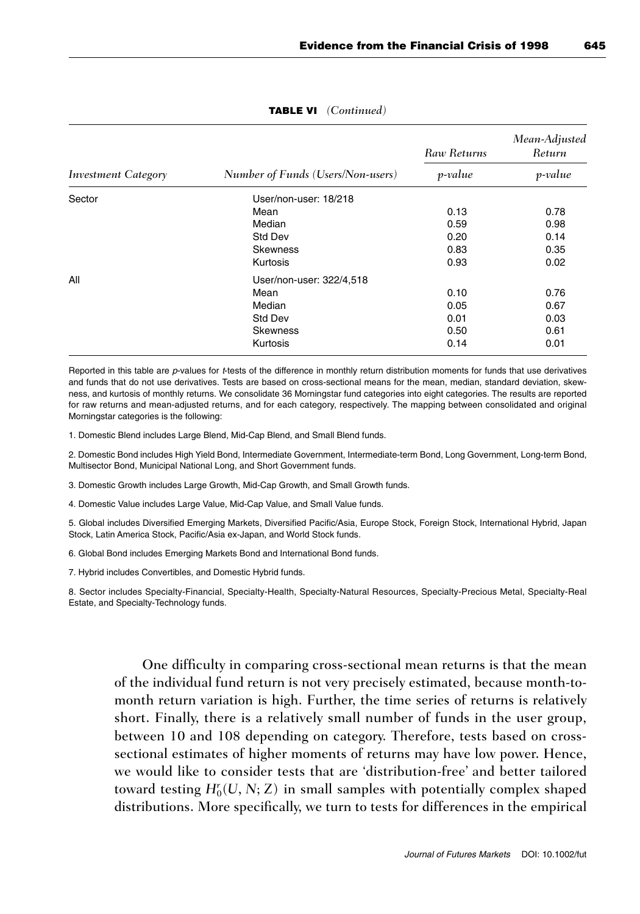|                     |                                   | Raw Returns | Mean-Adjusted<br>Return |  |
|---------------------|-----------------------------------|-------------|-------------------------|--|
| Investment Category | Number of Funds (Users/Non-users) | p-value     | p-value                 |  |
| Sector              | User/non-user: 18/218             |             |                         |  |
|                     | Mean                              | 0.13        | 0.78                    |  |
|                     | Median                            | 0.59        | 0.98                    |  |
|                     | <b>Std Dev</b>                    | 0.20        | 0.14                    |  |
|                     | <b>Skewness</b>                   | 0.83        | 0.35                    |  |
|                     | Kurtosis                          | 0.93        | 0.02                    |  |
| All                 | User/non-user: 322/4,518          |             |                         |  |
|                     | Mean                              | 0.10        | 0.76                    |  |
|                     | Median                            | 0.05        | 0.67                    |  |
|                     | <b>Std Dev</b>                    | 0.01        | 0.03                    |  |
|                     | <b>Skewness</b>                   | 0.50        | 0.61                    |  |
|                     | Kurtosis                          | 0.14        | 0.01                    |  |

#### **TABLE VI** *(Continued)*

Reported in this table are p-values for t-tests of the difference in monthly return distribution moments for funds that use derivatives and funds that do not use derivatives. Tests are based on cross-sectional means for the mean, median, standard deviation, skewness, and kurtosis of monthly returns. We consolidate 36 Morningstar fund categories into eight categories. The results are reported for raw returns and mean-adjusted returns, and for each category, respectively. The mapping between consolidated and original Morningstar categories is the following:

1. Domestic Blend includes Large Blend, Mid-Cap Blend, and Small Blend funds.

2. Domestic Bond includes High Yield Bond, Intermediate Government, Intermediate-term Bond, Long Government, Long-term Bond, Multisector Bond, Municipal National Long, and Short Government funds.

3. Domestic Growth includes Large Growth, Mid-Cap Growth, and Small Growth funds.

4. Domestic Value includes Large Value, Mid-Cap Value, and Small Value funds.

5. Global includes Diversified Emerging Markets, Diversified Pacific/Asia, Europe Stock, Foreign Stock, International Hybrid, Japan Stock, Latin America Stock, Pacific/Asia ex-Japan, and World Stock funds.

6. Global Bond includes Emerging Markets Bond and International Bond funds.

7. Hybrid includes Convertibles, and Domestic Hybrid funds.

8. Sector includes Specialty-Financial, Specialty-Health, Specialty-Natural Resources, Specialty-Precious Metal, Specialty-Real Estate, and Specialty-Technology funds.

One difficulty in comparing cross-sectional mean returns is that the mean of the individual fund return is not very precisely estimated, because month-tomonth return variation is high. Further, the time series of returns is relatively short. Finally, there is a relatively small number of funds in the user group, between 10 and 108 depending on category. Therefore, tests based on crosssectional estimates of higher moments of returns may have low power. Hence, we would like to consider tests that are 'distribution-free' and better tailored toward testing  $H_0^r(U, N; Z)$  in small samples with potentially complex shaped distributions. More specifically, we turn to tests for differences in the empirical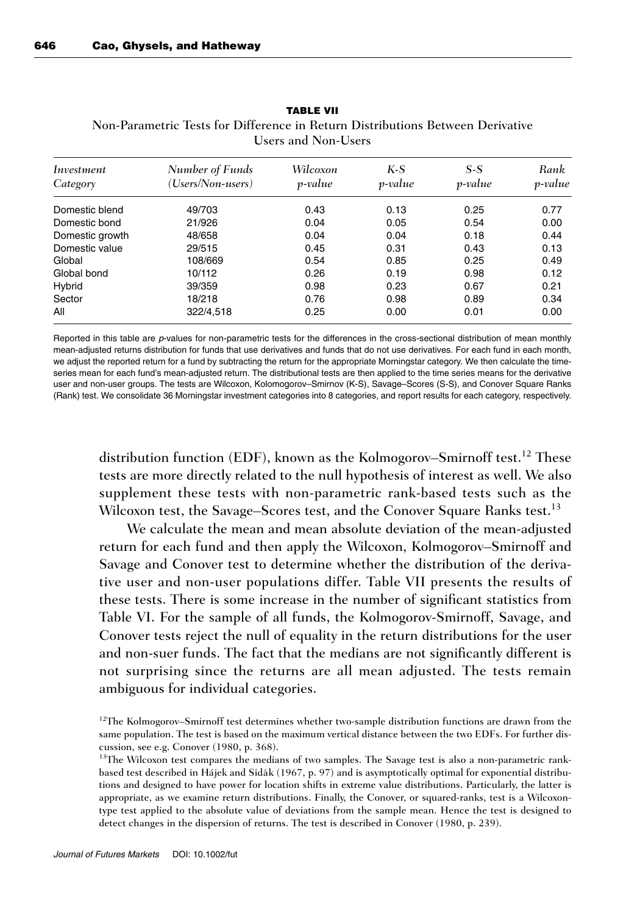| Investment<br>Category | Number of Funds<br>(Users/Non-users) | Wilcoxon<br>p-value | $K-S$<br>p-value | $S-S$<br>p-value | Rank<br>p-value |
|------------------------|--------------------------------------|---------------------|------------------|------------------|-----------------|
| Domestic blend         | 49/703                               | 0.43                | 0.13             | 0.25             | 0.77            |
| Domestic bond          | 21/926                               | 0.04                | 0.05             | 0.54             | 0.00            |
| Domestic growth        | 48/658                               | 0.04                | 0.04             | 0.18             | 0.44            |
| Domestic value         | 29/515                               | 0.45                | 0.31             | 0.43             | 0.13            |
| Global                 | 108/669                              | 0.54                | 0.85             | 0.25             | 0.49            |
| Global bond            | 10/112                               | 0.26                | 0.19             | 0.98             | 0.12            |
| Hybrid                 | 39/359                               | 0.98                | 0.23             | 0.67             | 0.21            |
| Sector                 | 18/218                               | 0.76                | 0.98             | 0.89             | 0.34            |
| All                    | 322/4,518                            | 0.25                | 0.00             | 0.01             | 0.00            |

**TABLE VII** Non-Parametric Tests for Difference in Return Distributions Between Derivative Users and Non-Users

Reported in this table are p-values for non-parametric tests for the differences in the cross-sectional distribution of mean monthly mean-adjusted returns distribution for funds that use derivatives and funds that do not use derivatives. For each fund in each month, we adjust the reported return for a fund by subtracting the return for the appropriate Morningstar category. We then calculate the timeseries mean for each fund's mean-adjusted return. The distributional tests are then applied to the time series means for the derivative user and non-user groups. The tests are Wilcoxon, Kolomogorov–Smirnov (K-S), Savage–Scores (S-S), and Conover Square Ranks (Rank) test. We consolidate 36 Morningstar investment categories into 8 categories, and report results for each category, respectively.

distribution function (EDF), known as the Kolmogorov–Smirnoff test.<sup>12</sup> These tests are more directly related to the null hypothesis of interest as well. We also supplement these tests with non-parametric rank-based tests such as the Wilcoxon test, the Savage–Scores test, and the Conover Square Ranks test.<sup>13</sup>

We calculate the mean and mean absolute deviation of the mean-adjusted return for each fund and then apply the Wilcoxon, Kolmogorov–Smirnoff and Savage and Conover test to determine whether the distribution of the derivative user and non-user populations differ. Table VII presents the results of these tests. There is some increase in the number of significant statistics from Table VI. For the sample of all funds, the Kolmogorov-Smirnoff, Savage, and Conover tests reject the null of equality in the return distributions for the user and non-suer funds. The fact that the medians are not significantly different is not surprising since the returns are all mean adjusted. The tests remain ambiguous for individual categories.

 $12$ The Kolmogorov–Smirnoff test determines whether two-sample distribution functions are drawn from the same population. The test is based on the maximum vertical distance between the two EDFs. For further discussion, see e.g. Conover (1980, p. 368).

<sup>&</sup>lt;sup>13</sup>The Wilcoxon test compares the medians of two samples. The Savage test is also a non-parametric rankbased test described in Hájek and Sidák (1967, p. 97) and is asymptotically optimal for exponential distributions and designed to have power for location shifts in extreme value distributions. Particularly, the latter is appropriate, as we examine return distributions. Finally, the Conover, or squared-ranks, test is a Wilcoxontype test applied to the absolute value of deviations from the sample mean. Hence the test is designed to detect changes in the dispersion of returns. The test is described in Conover (1980, p. 239).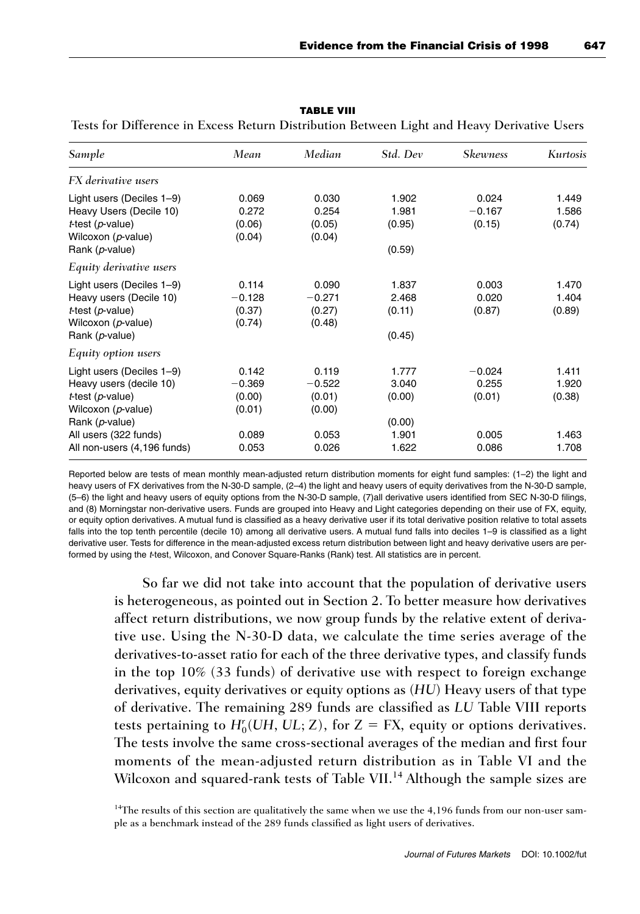| Sample                                                                                                                                           | Mean                                           | Median                                         | Std. Dev                                    | <b>Skewness</b>                      | <b>Kurtosis</b>                   |
|--------------------------------------------------------------------------------------------------------------------------------------------------|------------------------------------------------|------------------------------------------------|---------------------------------------------|--------------------------------------|-----------------------------------|
| FX derivative users                                                                                                                              |                                                |                                                |                                             |                                      |                                   |
| Light users (Deciles 1-9)<br>Heavy Users (Decile 10)<br>$t$ -test ( $p$ -value)<br>Wilcoxon (p-value)<br>Rank (p-value)                          | 0.069<br>0.272<br>(0.06)<br>(0.04)             | 0.030<br>0.254<br>(0.05)<br>(0.04)             | 1.902<br>1.981<br>(0.95)<br>(0.59)          | 0.024<br>$-0.167$<br>(0.15)          | 1.449<br>1.586<br>(0.74)          |
| Equity derivative users                                                                                                                          |                                                |                                                |                                             |                                      |                                   |
| Light users (Deciles 1-9)<br>Heavy users (Decile 10)<br>$t$ -test ( $p$ -value)<br>Wilcoxon (p-value)<br>Rank (p-value)                          | 0.114<br>$-0.128$<br>(0.37)<br>(0.74)          | 0.090<br>$-0.271$<br>(0.27)<br>(0.48)          | 1.837<br>2.468<br>(0.11)<br>(0.45)          | 0.003<br>0.020<br>(0.87)             | 1.470<br>1.404<br>(0.89)          |
| Equity option users                                                                                                                              |                                                |                                                |                                             |                                      |                                   |
| Light users (Deciles 1-9)<br>Heavy users (decile 10)<br>$t$ -test ( $p$ -value)<br>Wilcoxon (p-value)<br>Rank (p-value)<br>All users (322 funds) | 0.142<br>$-0.369$<br>(0.00)<br>(0.01)<br>0.089 | 0.119<br>$-0.522$<br>(0.01)<br>(0.00)<br>0.053 | 1.777<br>3.040<br>(0.00)<br>(0.00)<br>1.901 | $-0.024$<br>0.255<br>(0.01)<br>0.005 | 1.411<br>1.920<br>(0.38)<br>1.463 |
| All non-users (4,196 funds)                                                                                                                      | 0.053                                          | 0.026                                          | 1.622                                       | 0.086                                | 1.708                             |

**TABLE VIII**

Tests for Difference in Excess Return Distribution Between Light and Heavy Derivative Users

Reported below are tests of mean monthly mean-adjusted return distribution moments for eight fund samples: (1–2) the light and heavy users of FX derivatives from the N-30-D sample, (2–4) the light and heavy users of equity derivatives from the N-30-D sample, (5–6) the light and heavy users of equity options from the N-30-D sample, (7)all derivative users identified from SEC N-30-D filings, and (8) Morningstar non-derivative users. Funds are grouped into Heavy and Light categories depending on their use of FX, equity, or equity option derivatives. A mutual fund is classified as a heavy derivative user if its total derivative position relative to total assets falls into the top tenth percentile (decile 10) among all derivative users. A mutual fund falls into deciles 1–9 is classified as a light derivative user. Tests for difference in the mean-adjusted excess return distribution between light and heavy derivative users are performed by using the t-test, Wilcoxon, and Conover Square-Ranks (Rank) test. All statistics are in percent.

So far we did not take into account that the population of derivative users is heterogeneous, as pointed out in Section 2. To better measure how derivatives affect return distributions, we now group funds by the relative extent of derivative use. Using the N-30-D data, we calculate the time series average of the derivatives-to-asset ratio for each of the three derivative types, and classify funds in the top 10% (33 funds) of derivative use with respect to foreign exchange derivatives, equity derivatives or equity options as (*HU*) Heavy users of that type of derivative. The remaining 289 funds are classified as *LU* Table VIII reports tests pertaining to  $H_0^r(UH, UL; Z)$ , for  $Z = FX$ , equity or options derivatives. The tests involve the same cross-sectional averages of the median and first four moments of the mean-adjusted return distribution as in Table VI and the Wilcoxon and squared-rank tests of Table VII.<sup>14</sup> Although the sample sizes are

 $14$ The results of this section are qualitatively the same when we use the 4,196 funds from our non-user sample as a benchmark instead of the 289 funds classified as light users of derivatives.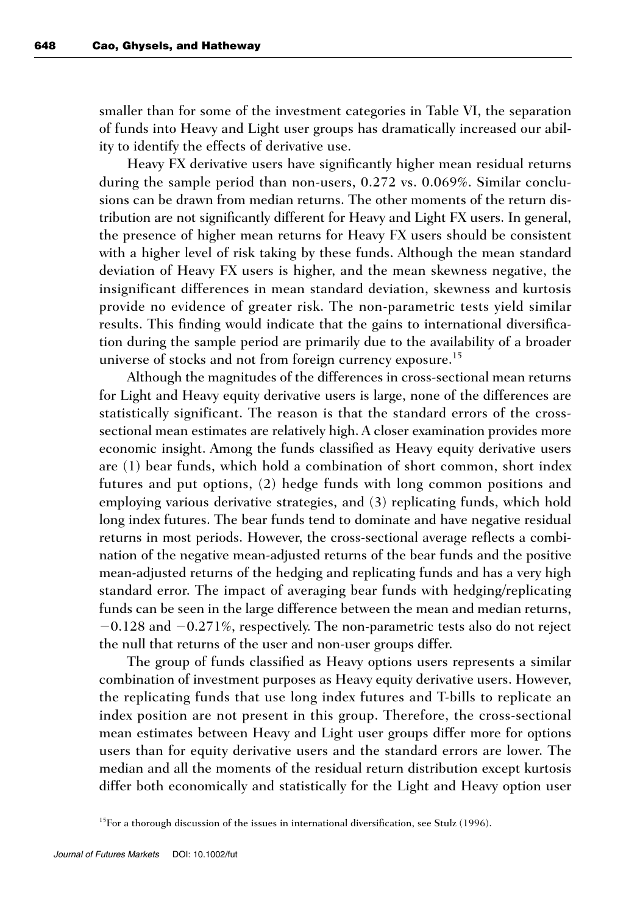smaller than for some of the investment categories in Table VI, the separation of funds into Heavy and Light user groups has dramatically increased our ability to identify the effects of derivative use.

Heavy FX derivative users have significantly higher mean residual returns during the sample period than non-users, 0.272 vs. 0.069%. Similar conclusions can be drawn from median returns. The other moments of the return distribution are not significantly different for Heavy and Light FX users. In general, the presence of higher mean returns for Heavy FX users should be consistent with a higher level of risk taking by these funds. Although the mean standard deviation of Heavy FX users is higher, and the mean skewness negative, the insignificant differences in mean standard deviation, skewness and kurtosis provide no evidence of greater risk. The non-parametric tests yield similar results. This finding would indicate that the gains to international diversification during the sample period are primarily due to the availability of a broader universe of stocks and not from foreign currency exposure.<sup>15</sup>

Although the magnitudes of the differences in cross-sectional mean returns for Light and Heavy equity derivative users is large, none of the differences are statistically significant. The reason is that the standard errors of the crosssectional mean estimates are relatively high. A closer examination provides more economic insight. Among the funds classified as Heavy equity derivative users are (1) bear funds, which hold a combination of short common, short index futures and put options, (2) hedge funds with long common positions and employing various derivative strategies, and (3) replicating funds, which hold long index futures. The bear funds tend to dominate and have negative residual returns in most periods. However, the cross-sectional average reflects a combination of the negative mean-adjusted returns of the bear funds and the positive mean-adjusted returns of the hedging and replicating funds and has a very high standard error. The impact of averaging bear funds with hedging/replicating funds can be seen in the large difference between the mean and median returns, -0.128 and -0.271%, respectively. The non-parametric tests also do not reject the null that returns of the user and non-user groups differ.

The group of funds classified as Heavy options users represents a similar combination of investment purposes as Heavy equity derivative users. However, the replicating funds that use long index futures and T-bills to replicate an index position are not present in this group. Therefore, the cross-sectional mean estimates between Heavy and Light user groups differ more for options users than for equity derivative users and the standard errors are lower. The median and all the moments of the residual return distribution except kurtosis differ both economically and statistically for the Light and Heavy option user

<sup>&</sup>lt;sup>15</sup>For a thorough discussion of the issues in international diversification, see Stulz (1996).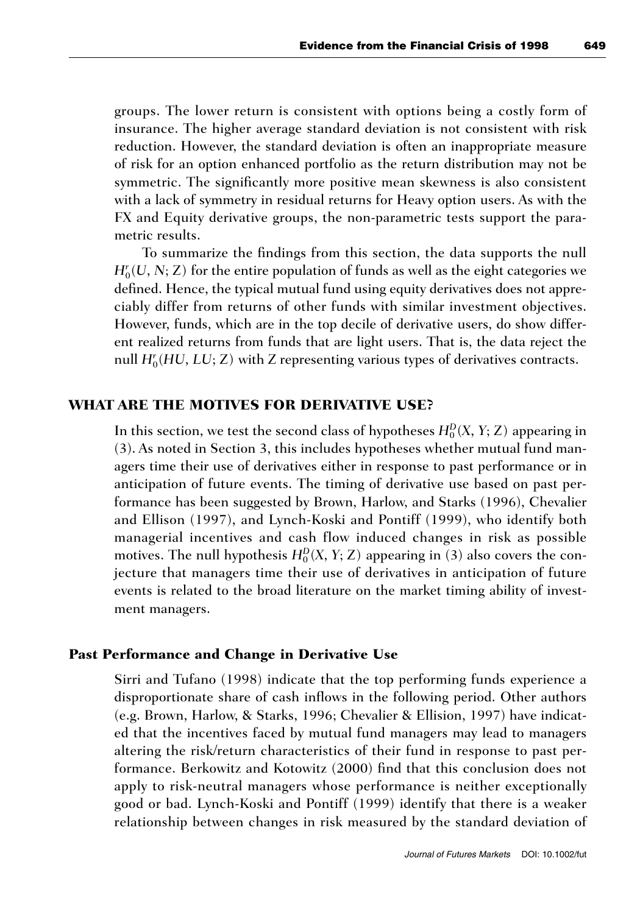groups. The lower return is consistent with options being a costly form of insurance. The higher average standard deviation is not consistent with risk reduction. However, the standard deviation is often an inappropriate measure of risk for an option enhanced portfolio as the return distribution may not be symmetric. The significantly more positive mean skewness is also consistent with a lack of symmetry in residual returns for Heavy option users. As with the FX and Equity derivative groups, the non-parametric tests support the parametric results.

To summarize the findings from this section, the data supports the null  $H_0^r(U, N; Z)$  for the entire population of funds as well as the eight categories we defined. Hence, the typical mutual fund using equity derivatives does not appreciably differ from returns of other funds with similar investment objectives. However, funds, which are in the top decile of derivative users, do show different realized returns from funds that are light users. That is, the data reject the null  $H_0^r(HU, LU, Z)$  with  $Z$  representing various types of derivatives contracts.

## **WHAT ARE THE MOTIVES FOR DERIVATIVE USE?**

In this section, we test the second class of hypotheses  $H_0^D(X, Y; Z)$  appearing in (3). As noted in Section 3, this includes hypotheses whether mutual fund managers time their use of derivatives either in response to past performance or in anticipation of future events. The timing of derivative use based on past performance has been suggested by Brown, Harlow, and Starks (1996), Chevalier and Ellison (1997), and Lynch-Koski and Pontiff (1999), who identify both managerial incentives and cash flow induced changes in risk as possible motives. The null hypothesis  $H_0^D(X, Y; Z)$  appearing in (3) also covers the conjecture that managers time their use of derivatives in anticipation of future events is related to the broad literature on the market timing ability of investment managers.

#### **Past Performance and Change in Derivative Use**

Sirri and Tufano (1998) indicate that the top performing funds experience a disproportionate share of cash inflows in the following period. Other authors (e.g. Brown, Harlow, & Starks, 1996; Chevalier & Ellision, 1997) have indicated that the incentives faced by mutual fund managers may lead to managers altering the risk/return characteristics of their fund in response to past performance. Berkowitz and Kotowitz (2000) find that this conclusion does not apply to risk-neutral managers whose performance is neither exceptionally good or bad. Lynch-Koski and Pontiff (1999) identify that there is a weaker relationship between changes in risk measured by the standard deviation of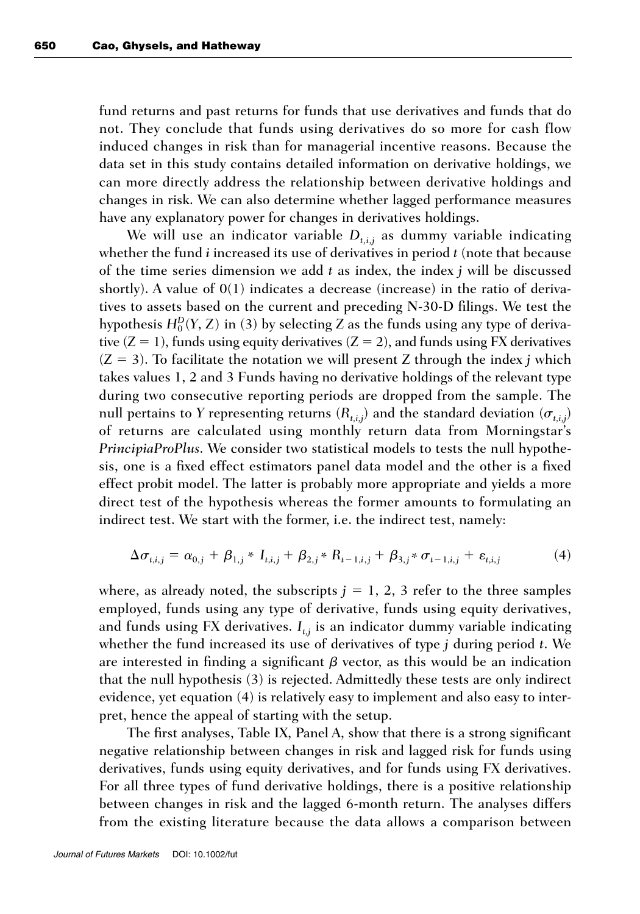fund returns and past returns for funds that use derivatives and funds that do not. They conclude that funds using derivatives do so more for cash flow induced changes in risk than for managerial incentive reasons. Because the data set in this study contains detailed information on derivative holdings, we can more directly address the relationship between derivative holdings and changes in risk. We can also determine whether lagged performance measures have any explanatory power for changes in derivatives holdings.

We will use an indicator variable  $D_{t,i,j}$  as dummy variable indicating whether the fund *i* increased its use of derivatives in period *t* (note that because of the time series dimension we add *t* as index, the index *j* will be discussed shortly). A value of  $O(1)$  indicates a decrease (increase) in the ratio of derivatives to assets based on the current and preceding N-30-D filings. We test the hypothesis  $H_0^D(Y, Z)$  in (3) by selecting  $Z$  as the funds using any type of derivative  $(Z = 1)$ , funds using equity derivatives  $(Z = 2)$ , and funds using FX derivatives  $(Z = 3)$ . To facilitate the notation we will present *Z* through the index *j* which takes values 1, 2 and 3 Funds having no derivative holdings of the relevant type during two consecutive reporting periods are dropped from the sample. The null pertains to *Y* representing returns  $(R_{t,i,j})$  and the standard deviation  $(\sigma_{t,i,j})$ of returns are calculated using monthly return data from Morningstar's *PrincipiaProPlus*. We consider two statistical models to tests the null hypothesis, one is a fixed effect estimators panel data model and the other is a fixed effect probit model. The latter is probably more appropriate and yields a more direct test of the hypothesis whereas the former amounts to formulating an indirect test. We start with the former, i.e. the indirect test, namely:

$$
\Delta \sigma_{t,i,j} = \alpha_{0,j} + \beta_{1,j} * I_{t,i,j} + \beta_{2,j} * R_{t-1,i,j} + \beta_{3,j} * \sigma_{t-1,i,j} + \varepsilon_{t,i,j}
$$
(4)

where, as already noted, the subscripts  $j = 1, 2, 3$  refer to the three samples employed, funds using any type of derivative, funds using equity derivatives, and funds using FX derivatives.  $I_{t,i}$  is an indicator dummy variable indicating whether the fund increased its use of derivatives of type *j* during period *t*. We are interested in finding a significant  $\beta$  vector, as this would be an indication that the null hypothesis (3) is rejected. Admittedly these tests are only indirect evidence, yet equation (4) is relatively easy to implement and also easy to interpret, hence the appeal of starting with the setup.

The first analyses, Table IX, Panel A, show that there is a strong significant negative relationship between changes in risk and lagged risk for funds using derivatives, funds using equity derivatives, and for funds using FX derivatives. For all three types of fund derivative holdings, there is a positive relationship between changes in risk and the lagged 6-month return. The analyses differs from the existing literature because the data allows a comparison between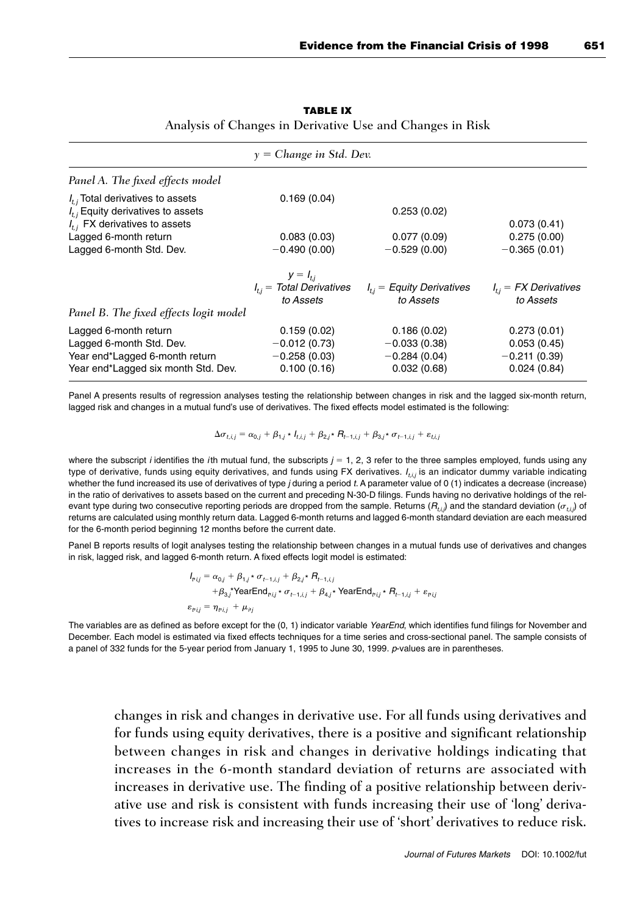| $y = Change$ in Std. Dev.                                                                                                                                                 |                                                                |                                                                |                                                             |  |  |
|---------------------------------------------------------------------------------------------------------------------------------------------------------------------------|----------------------------------------------------------------|----------------------------------------------------------------|-------------------------------------------------------------|--|--|
| Panel A. The fixed effects model                                                                                                                                          |                                                                |                                                                |                                                             |  |  |
| $I_{t}$ , Total derivatives to assets<br>$I_{ij}$ Equity derivatives to assets<br>$I_{t,i}$ FX derivatives to assets<br>Lagged 6-month return<br>Lagged 6-month Std. Dev. | 0.169(0.04)<br>0.083(0.03)<br>$-0.490(0.00)$                   | 0.253(0.02)<br>0.077(0.09)<br>$-0.529(0.00)$                   | 0.073(0.41)<br>0.275(0.00)<br>$-0.365(0.01)$                |  |  |
| Panel B. The fixed effects logit model                                                                                                                                    | $y = I_{ti}$<br>$I_{ij}$ = Total Derivatives<br>to Assets      | $I_{ij}$ = Equity Derivatives<br>to Assets                     | $I_{ij}$ = FX Derivatives<br>to Assets                      |  |  |
| Lagged 6-month return<br>Lagged 6-month Std. Dev.<br>Year end*Lagged 6-month return<br>Year end*Lagged six month Std. Dev.                                                | 0.159(0.02)<br>$-0.012(0.73)$<br>$-0.258(0.03)$<br>0.100(0.16) | 0.186(0.02)<br>$-0.033(0.38)$<br>$-0.284(0.04)$<br>0.032(0.68) | 0.273(0.01)<br>0.053(0.45)<br>$-0.211(0.39)$<br>0.024(0.84) |  |  |

#### **TABLE IX** Analysis of Changes in Derivative Use and Changes in Risk

Panel A presents results of regression analyses testing the relationship between changes in risk and the lagged six-month return, lagged risk and changes in a mutual fund's use of derivatives. The fixed effects model estimated is the following:

$$
\Delta \sigma_{t,i,j} = \alpha_{0,j} + \beta_{1,j} * l_{t,i,j} + \beta_{2,j} * R_{t-1,i,j} + \beta_{3,j} * \sigma_{t-1,i,j} + \varepsilon_{t,i,j}
$$

where the subscript *i* identifies the *i*th mutual fund, the subscripts  $j = 1, 2, 3$  refer to the three samples employed, funds using any type of derivative, funds using equity derivatives, and funds using FX derivatives.  $I_{t,i,j}$  is an indicator dummy variable indicating whether the fund increased its use of derivatives of type j during a period t. A parameter value of 0 (1) indicates a decrease (increase) in the ratio of derivatives to assets based on the current and preceding N-30-D filings. Funds having no derivative holdings of the relevant type during two consecutive reporting periods are dropped from the sample. Returns  $(R_{tij})$  and the standard deviation  $(\sigma_{tij})$  of returns are calculated using monthly return data. Lagged 6-month returns and lagged 6-month standard deviation are each measured for the 6-month period beginning 12 months before the current date.

Panel B reports results of logit analyses testing the relationship between changes in a mutual funds use of derivatives and changes in risk, lagged risk, and lagged 6-month return. A fixed effects logit model is estimated:

$$
I_{bij} = \alpha_{0j} + \beta_{1,j} * \sigma_{t-1,i,j} + \beta_{2,j} * R_{t-1,i,j}
$$
  
+ 
$$
\beta_{3,j} * \text{YearEnd}_{bij} * \sigma_{t-1,i,j} + \beta_{4,j} * \text{YearEnd}_{bij} * R_{t-1,i,j} + \varepsilon_{bij}
$$
  

$$
\varepsilon_{bij} = \eta_{bij} + \mu_{bj}
$$

The variables are as defined as before except for the (0, 1) indicator variable YearEnd, which identifies fund filings for November and December. Each model is estimated via fixed effects techniques for a time series and cross-sectional panel. The sample consists of a panel of 332 funds for the 5-year period from January 1, 1995 to June 30, 1999. p-values are in parentheses.

changes in risk and changes in derivative use. For all funds using derivatives and for funds using equity derivatives, there is a positive and significant relationship between changes in risk and changes in derivative holdings indicating that increases in the 6-month standard deviation of returns are associated with increases in derivative use. The finding of a positive relationship between derivative use and risk is consistent with funds increasing their use of 'long' derivatives to increase risk and increasing their use of 'short' derivatives to reduce risk.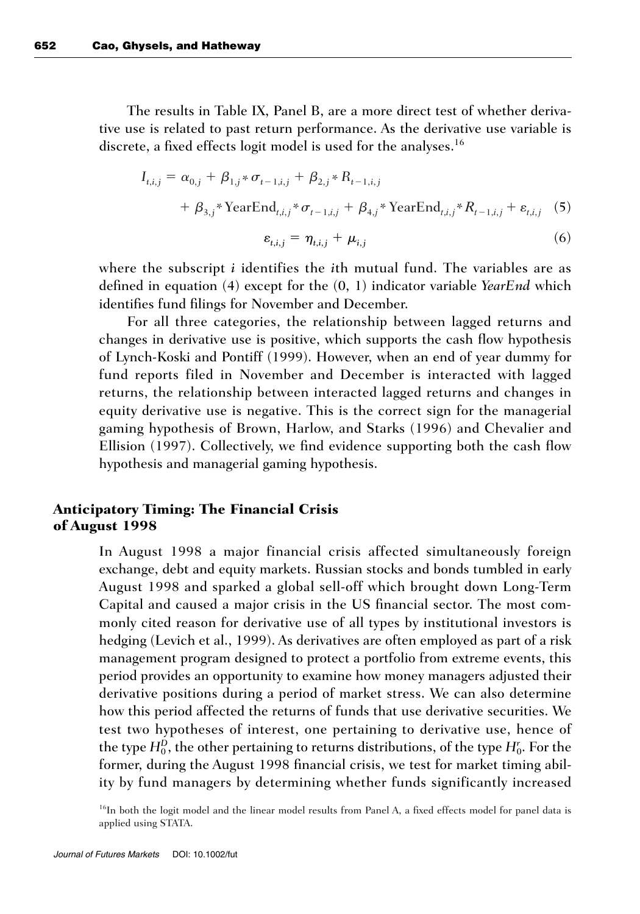The results in Table IX, Panel B, are a more direct test of whether derivative use is related to past return performance. As the derivative use variable is discrete, a fixed effects logit model is used for the analyses.<sup>16</sup>

$$
I_{t,i,j} = \alpha_{0,j} + \beta_{1,j} * \sigma_{t-1,i,j} + \beta_{2,j} * R_{t-1,i,j} + \beta_{3,j} * \text{YearEnd}_{t,i,j} * \sigma_{t-1,i,j} + \beta_{4,j} * \text{YearEnd}_{t,i,j} * R_{t-1,i,j} + \varepsilon_{t,i,j}
$$
 (5)  

$$
\varepsilon_{t,i,j} = \eta_{t,i,j} + \mu_{i,j}
$$
 (6)

where the subscript *i* identifies the *i*th mutual fund. The variables are as defined in equation (4) except for the (0, 1) indicator variable *YearEnd* which identifies fund filings for November and December.

For all three categories, the relationship between lagged returns and changes in derivative use is positive, which supports the cash flow hypothesis of Lynch-Koski and Pontiff (1999). However, when an end of year dummy for fund reports filed in November and December is interacted with lagged returns, the relationship between interacted lagged returns and changes in equity derivative use is negative. This is the correct sign for the managerial gaming hypothesis of Brown, Harlow, and Starks (1996) and Chevalier and Ellision (1997). Collectively, we find evidence supporting both the cash flow hypothesis and managerial gaming hypothesis.

## **Anticipatory Timing: The Financial Crisis of August 1998**

In August 1998 a major financial crisis affected simultaneously foreign exchange, debt and equity markets. Russian stocks and bonds tumbled in early August 1998 and sparked a global sell-off which brought down Long-Term Capital and caused a major crisis in the US financial sector. The most commonly cited reason for derivative use of all types by institutional investors is hedging (Levich et al., 1999). As derivatives are often employed as part of a risk management program designed to protect a portfolio from extreme events, this period provides an opportunity to examine how money managers adjusted their derivative positions during a period of market stress. We can also determine how this period affected the returns of funds that use derivative securities. We test two hypotheses of interest, one pertaining to derivative use, hence of the type  $H_0^D$ , the other pertaining to returns distributions, of the type  $H_0^r$ . For the former, during the August 1998 financial crisis, we test for market timing ability by fund managers by determining whether funds significantly increased

<sup>16</sup>In both the logit model and the linear model results from Panel A, a fixed effects model for panel data is applied using STATA.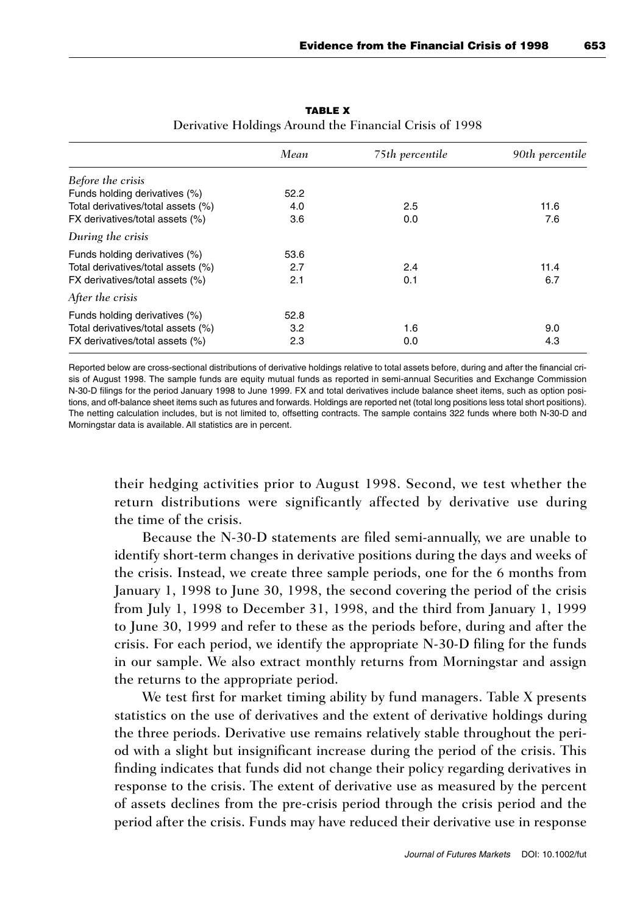|                                    | Mean | 75th percentile | 90th percentile |
|------------------------------------|------|-----------------|-----------------|
| Before the crisis                  |      |                 |                 |
| Funds holding derivatives (%)      | 52.2 |                 |                 |
| Total derivatives/total assets (%) | 4.0  | 2.5             | 11.6            |
| FX derivatives/total assets (%)    | 3.6  | 0.0             | 7.6             |
| During the crisis                  |      |                 |                 |
| Funds holding derivatives (%)      | 53.6 |                 |                 |
| Total derivatives/total assets (%) | 2.7  | 2.4             | 11.4            |
| FX derivatives/total assets (%)    | 2.1  | 0.1             | 6.7             |
| After the crisis                   |      |                 |                 |
| Funds holding derivatives (%)      | 52.8 |                 |                 |
| Total derivatives/total assets (%) | 3.2  | 1.6             | 9.0             |
| FX derivatives/total assets (%)    | 2.3  | 0.0             | 4.3             |

**TABLE X** Derivative Holdings Around the Financial Crisis of 1998

Reported below are cross-sectional distributions of derivative holdings relative to total assets before, during and after the financial crisis of August 1998. The sample funds are equity mutual funds as reported in semi-annual Securities and Exchange Commission N-30-D filings for the period January 1998 to June 1999. FX and total derivatives include balance sheet items, such as option positions, and off-balance sheet items such as futures and forwards. Holdings are reported net (total long positions less total short positions). The netting calculation includes, but is not limited to, offsetting contracts. The sample contains 322 funds where both N-30-D and Morningstar data is available. All statistics are in percent.

their hedging activities prior to August 1998. Second, we test whether the return distributions were significantly affected by derivative use during the time of the crisis.

Because the N-30-D statements are filed semi-annually, we are unable to identify short-term changes in derivative positions during the days and weeks of the crisis. Instead, we create three sample periods, one for the 6 months from January 1, 1998 to June 30, 1998, the second covering the period of the crisis from July 1, 1998 to December 31, 1998, and the third from January 1, 1999 to June 30, 1999 and refer to these as the periods before, during and after the crisis. For each period, we identify the appropriate N-30-D filing for the funds in our sample. We also extract monthly returns from Morningstar and assign the returns to the appropriate period.

We test first for market timing ability by fund managers. Table X presents statistics on the use of derivatives and the extent of derivative holdings during the three periods. Derivative use remains relatively stable throughout the period with a slight but insignificant increase during the period of the crisis. This finding indicates that funds did not change their policy regarding derivatives in response to the crisis. The extent of derivative use as measured by the percent of assets declines from the pre-crisis period through the crisis period and the period after the crisis. Funds may have reduced their derivative use in response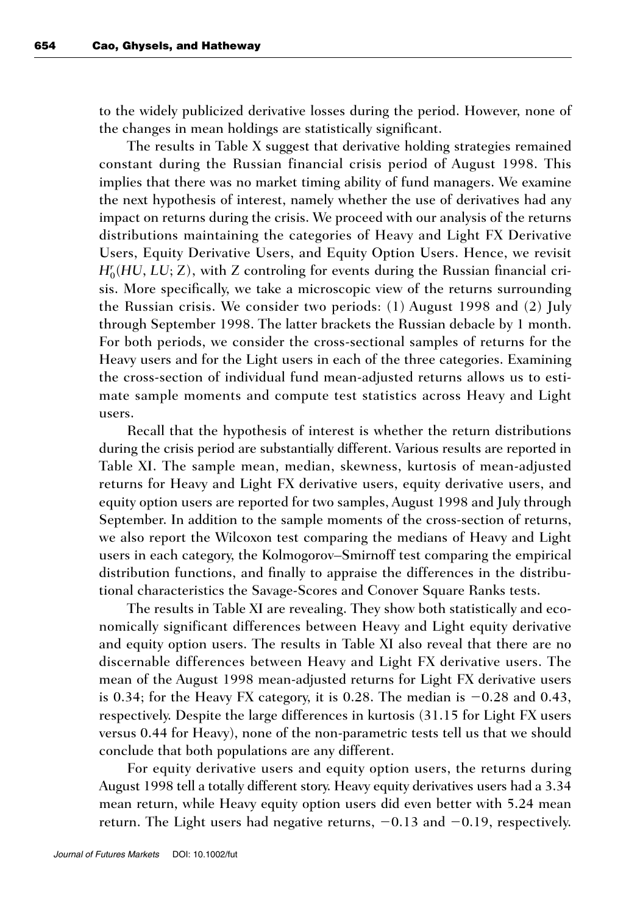to the widely publicized derivative losses during the period. However, none of the changes in mean holdings are statistically significant.

The results in Table X suggest that derivative holding strategies remained constant during the Russian financial crisis period of August 1998. This implies that there was no market timing ability of fund managers. We examine the next hypothesis of interest, namely whether the use of derivatives had any impact on returns during the crisis. We proceed with our analysis of the returns distributions maintaining the categories of Heavy and Light FX Derivative Users, Equity Derivative Users, and Equity Option Users. Hence, we revisit  $H_0^r(HU, LU, Z)$ , with *Z* controling for events during the Russian financial crisis. More specifically, we take a microscopic view of the returns surrounding the Russian crisis. We consider two periods: (1) August 1998 and (2) July through September 1998. The latter brackets the Russian debacle by 1 month. For both periods, we consider the cross-sectional samples of returns for the Heavy users and for the Light users in each of the three categories. Examining the cross-section of individual fund mean-adjusted returns allows us to estimate sample moments and compute test statistics across Heavy and Light users.

Recall that the hypothesis of interest is whether the return distributions during the crisis period are substantially different. Various results are reported in Table XI. The sample mean, median, skewness, kurtosis of mean-adjusted returns for Heavy and Light FX derivative users, equity derivative users, and equity option users are reported for two samples, August 1998 and July through September. In addition to the sample moments of the cross-section of returns, we also report the Wilcoxon test comparing the medians of Heavy and Light users in each category, the Kolmogorov–Smirnoff test comparing the empirical distribution functions, and finally to appraise the differences in the distributional characteristics the Savage-Scores and Conover Square Ranks tests.

The results in Table XI are revealing. They show both statistically and economically significant differences between Heavy and Light equity derivative and equity option users. The results in Table XI also reveal that there are no discernable differences between Heavy and Light FX derivative users. The mean of the August 1998 mean-adjusted returns for Light FX derivative users is 0.34; for the Heavy FX category, it is 0.28. The median is  $-0.28$  and 0.43, respectively. Despite the large differences in kurtosis (31.15 for Light FX users versus 0.44 for Heavy), none of the non-parametric tests tell us that we should conclude that both populations are any different.

For equity derivative users and equity option users, the returns during August 1998 tell a totally different story. Heavy equity derivatives users had a 3.34 mean return, while Heavy equity option users did even better with 5.24 mean return. The Light users had negative returns,  $-0.13$  and  $-0.19$ , respectively.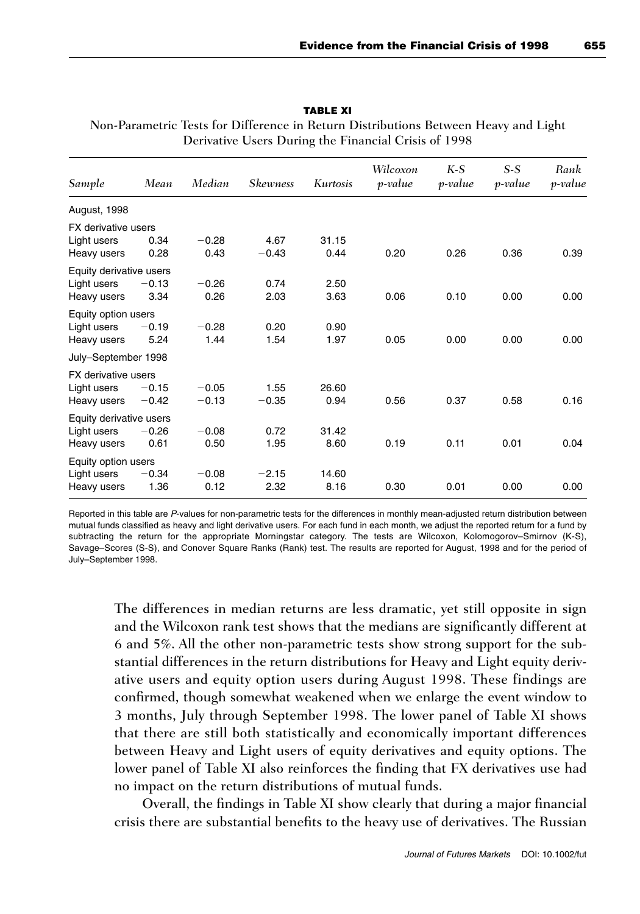| Sample                     | Mean               | Median             | <b>Skewness</b> | Kurtosis      | Wilcoxon<br>p-value | $K-S$<br>p-value | $S-S$<br>p-value | Rank<br>p-value |
|----------------------------|--------------------|--------------------|-----------------|---------------|---------------------|------------------|------------------|-----------------|
| August, 1998               |                    |                    |                 |               |                     |                  |                  |                 |
| FX derivative users        |                    |                    |                 |               |                     |                  |                  |                 |
| Light users<br>Heavy users | 0.34<br>0.28       | $-0.28$<br>0.43    | 4.67<br>$-0.43$ | 31.15<br>0.44 | 0.20                | 0.26             | 0.36             | 0.39            |
| Equity derivative users    |                    |                    |                 |               |                     |                  |                  |                 |
| Light users<br>Heavy users | $-0.13$<br>3.34    | $-0.26$<br>0.26    | 0.74<br>2.03    | 2.50<br>3.63  | 0.06                | 0.10             | 0.00             | 0.00            |
| Equity option users        |                    |                    |                 |               |                     |                  |                  |                 |
| Light users<br>Heavy users | $-0.19$<br>5.24    | $-0.28$<br>1.44    | 0.20<br>1.54    | 0.90<br>1.97  | 0.05                | 0.00             | 0.00             | 0.00            |
| July-September 1998        |                    |                    |                 |               |                     |                  |                  |                 |
| FX derivative users        |                    |                    |                 |               |                     |                  |                  |                 |
| Light users<br>Heavy users | $-0.15$<br>$-0.42$ | $-0.05$<br>$-0.13$ | 1.55<br>$-0.35$ | 26.60<br>0.94 | 0.56                | 0.37             | 0.58             | 0.16            |
| Equity derivative users    |                    |                    |                 |               |                     |                  |                  |                 |
| Light users<br>Heavy users | $-0.26$<br>0.61    | $-0.08$<br>0.50    | 0.72<br>1.95    | 31.42<br>8.60 | 0.19                | 0.11             | 0.01             | 0.04            |
| Equity option users        |                    |                    |                 |               |                     |                  |                  |                 |
| Light users<br>Heavy users | $-0.34$<br>1.36    | $-0.08$<br>0.12    | $-2.15$<br>2.32 | 14.60<br>8.16 | 0.30                | 0.01             | 0.00             | 0.00            |
|                            |                    |                    |                 |               |                     |                  |                  |                 |

**TABLE XI** Non-Parametric Tests for Difference in Return Distributions Between Heavy and Light Derivative Users During the Financial Crisis of 1998

Reported in this table are P-values for non-parametric tests for the differences in monthly mean-adjusted return distribution between mutual funds classified as heavy and light derivative users. For each fund in each month, we adjust the reported return for a fund by subtracting the return for the appropriate Morningstar category. The tests are Wilcoxon, Kolomogorov–Smirnov (K-S), Savage–Scores (S-S), and Conover Square Ranks (Rank) test. The results are reported for August, 1998 and for the period of July–September 1998.

The differences in median returns are less dramatic, yet still opposite in sign and the Wilcoxon rank test shows that the medians are significantly different at 6 and 5%. All the other non-parametric tests show strong support for the substantial differences in the return distributions for Heavy and Light equity derivative users and equity option users during August 1998. These findings are confirmed, though somewhat weakened when we enlarge the event window to 3 months, July through September 1998. The lower panel of Table XI shows that there are still both statistically and economically important differences between Heavy and Light users of equity derivatives and equity options. The lower panel of Table XI also reinforces the finding that FX derivatives use had no impact on the return distributions of mutual funds.

Overall, the findings in Table XI show clearly that during a major financial crisis there are substantial benefits to the heavy use of derivatives. The Russian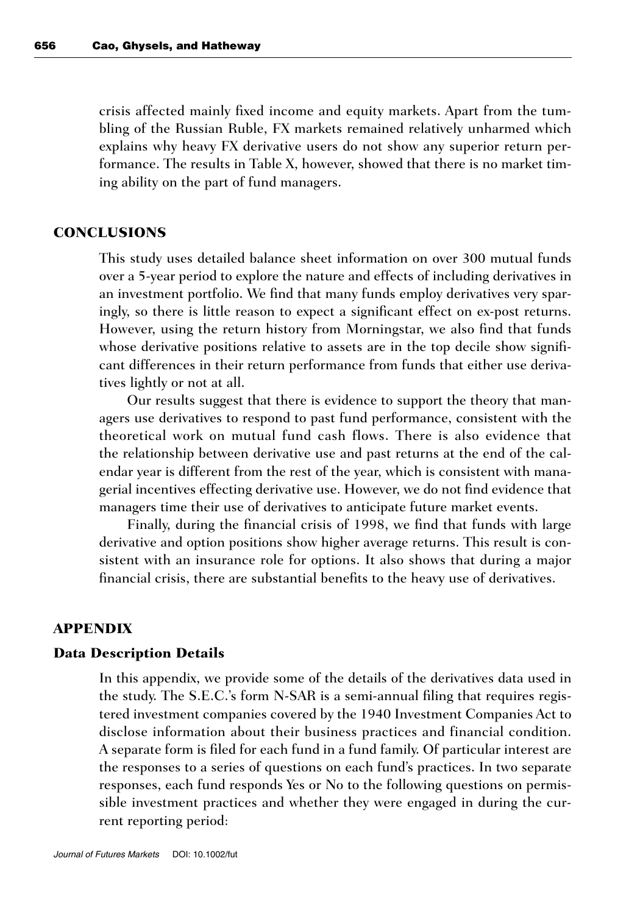crisis affected mainly fixed income and equity markets. Apart from the tumbling of the Russian Ruble, FX markets remained relatively unharmed which explains why heavy FX derivative users do not show any superior return performance. The results in Table X, however, showed that there is no market timing ability on the part of fund managers.

#### **CONCLUSIONS**

This study uses detailed balance sheet information on over 300 mutual funds over a 5-year period to explore the nature and effects of including derivatives in an investment portfolio. We find that many funds employ derivatives very sparingly, so there is little reason to expect a significant effect on ex-post returns. However, using the return history from Morningstar, we also find that funds whose derivative positions relative to assets are in the top decile show significant differences in their return performance from funds that either use derivatives lightly or not at all.

Our results suggest that there is evidence to support the theory that managers use derivatives to respond to past fund performance, consistent with the theoretical work on mutual fund cash flows. There is also evidence that the relationship between derivative use and past returns at the end of the calendar year is different from the rest of the year, which is consistent with managerial incentives effecting derivative use. However, we do not find evidence that managers time their use of derivatives to anticipate future market events.

Finally, during the financial crisis of 1998, we find that funds with large derivative and option positions show higher average returns. This result is consistent with an insurance role for options. It also shows that during a major financial crisis, there are substantial benefits to the heavy use of derivatives.

## **APPENDIX**

#### **Data Description Details**

In this appendix, we provide some of the details of the derivatives data used in the study. The S.E.C.'s form N-SAR is a semi-annual filing that requires registered investment companies covered by the 1940 Investment Companies Act to disclose information about their business practices and financial condition. A separate form is filed for each fund in a fund family. Of particular interest are the responses to a series of questions on each fund's practices. In two separate responses, each fund responds Yes or No to the following questions on permissible investment practices and whether they were engaged in during the current reporting period: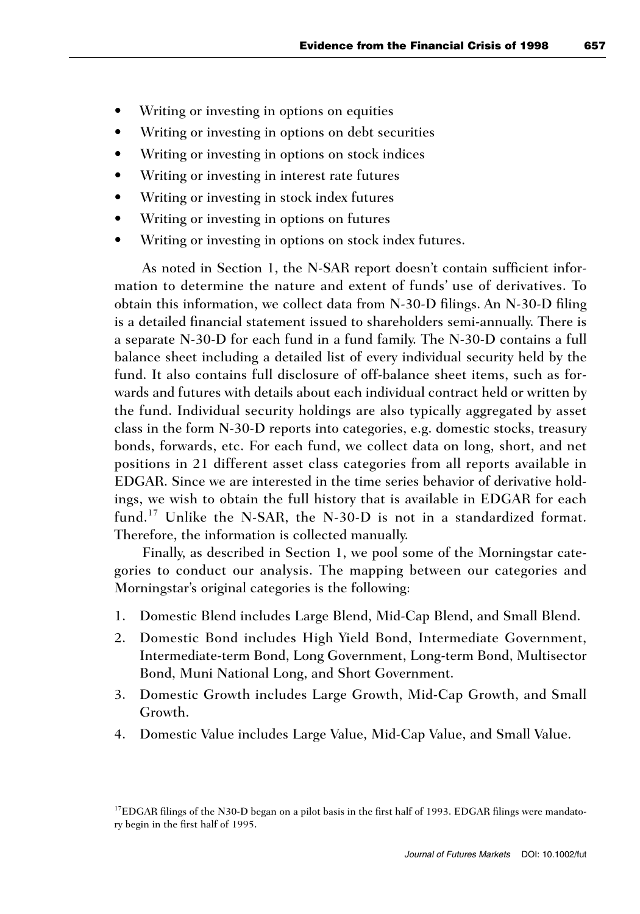- Writing or investing in options on equities
- Writing or investing in options on debt securities
- Writing or investing in options on stock indices
- Writing or investing in interest rate futures
- Writing or investing in stock index futures
- Writing or investing in options on futures
- Writing or investing in options on stock index futures.

As noted in Section 1, the N-SAR report doesn't contain sufficient information to determine the nature and extent of funds' use of derivatives. To obtain this information, we collect data from N-30-D filings. An N-30-D filing is a detailed financial statement issued to shareholders semi-annually. There is a separate N-30-D for each fund in a fund family. The N-30-D contains a full balance sheet including a detailed list of every individual security held by the fund. It also contains full disclosure of off-balance sheet items, such as forwards and futures with details about each individual contract held or written by the fund. Individual security holdings are also typically aggregated by asset class in the form N-30-D reports into categories, e.g. domestic stocks, treasury bonds, forwards, etc. For each fund, we collect data on long, short, and net positions in 21 different asset class categories from all reports available in EDGAR. Since we are interested in the time series behavior of derivative holdings, we wish to obtain the full history that is available in EDGAR for each fund.<sup>17</sup> Unlike the N-SAR, the N-30-D is not in a standardized format. Therefore, the information is collected manually.

Finally, as described in Section 1, we pool some of the Morningstar categories to conduct our analysis. The mapping between our categories and Morningstar's original categories is the following:

- 1. Domestic Blend includes Large Blend, Mid-Cap Blend, and Small Blend.
- 2. Domestic Bond includes High Yield Bond, Intermediate Government, Intermediate-term Bond, Long Government, Long-term Bond, Multisector Bond, Muni National Long, and Short Government.
- 3. Domestic Growth includes Large Growth, Mid-Cap Growth, and Small Growth.
- 4. Domestic Value includes Large Value, Mid-Cap Value, and Small Value.

<sup>&</sup>lt;sup>17</sup>EDGAR filings of the N30-D began on a pilot basis in the first half of 1993. EDGAR filings were mandatory begin in the first half of 1995.